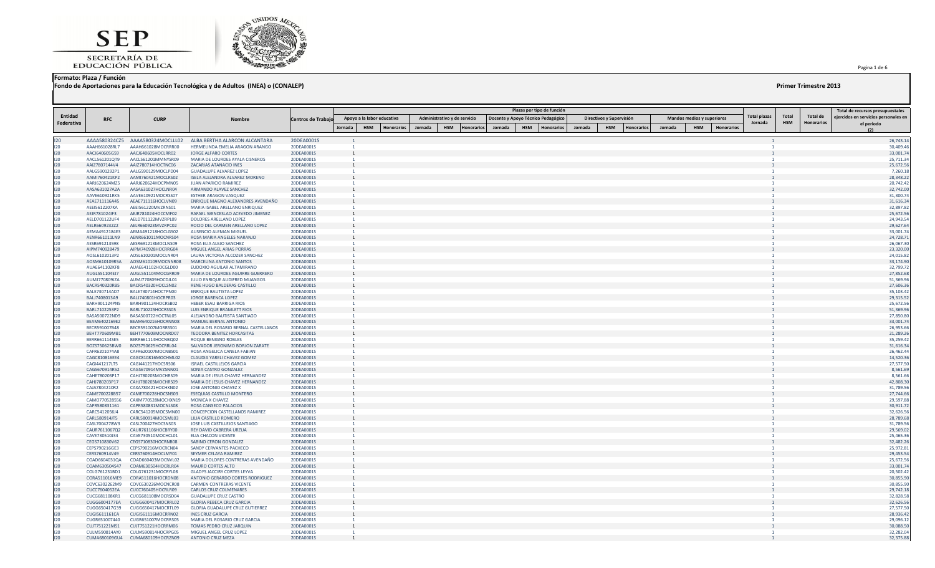



**Formato: Plaza / Función**

**Fondo de Aportaciones para la Educación Tecnológica y de Adultos (INEA) o (CONALEP) Primer Trimestre 2013**

| Entidad    |                                |                                          |                                                                     |                           |                |                                 |         | Administrativo y de servicio |         | Plazas por tipo de función         |         | Directivos y Supervisión |            |         | Mandos medios y superiores |                   | <b>Total plazas</b> | Total      | Total de          | Total de recursos presupuestales<br>ejercidos en servicios personales en |
|------------|--------------------------------|------------------------------------------|---------------------------------------------------------------------|---------------------------|----------------|---------------------------------|---------|------------------------------|---------|------------------------------------|---------|--------------------------|------------|---------|----------------------------|-------------------|---------------------|------------|-------------------|--------------------------------------------------------------------------|
| Federativa | <b>RFC</b>                     | <b>CURP</b>                              | <b>Nombre</b>                                                       | <b>Centros de Trabajo</b> |                | Apoyo a la labor educativa      |         |                              |         | Docente y Apoyo Técnico Pedagógico |         |                          |            |         |                            |                   | Jornada             | <b>HSM</b> | <b>Honorarios</b> | el periodo                                                               |
|            |                                |                                          |                                                                     |                           | Jornada        | <b>HSM</b><br><b>Honorarios</b> | Jornada | <b>HSM</b><br>Honorario      | Jornada | <b>HSM</b><br><b>Honorarios</b>    | Jornada | <b>HSM</b>               | Honorarios | Jornada | <b>HSM</b>                 | <b>Honorarios</b> |                     |            |                   |                                                                          |
| 120        | AAAA580324CZ5                  | AAAA580324MOCLLL02                       | ALBA BERTHA ALARCON ALCANTARA                                       | 20DEA0001S                |                |                                 |         |                              |         |                                    |         |                          |            |         |                            |                   |                     |            |                   | 26,743.14                                                                |
| 120        | AAAH661028RL7                  | AAAH661028MOCRRR00                       | HERMELINDA EMELIA ARAGON ARANGO                                     | 20DEA0001S                |                |                                 |         |                              |         |                                    |         |                          |            |         |                            |                   |                     |            |                   | 30,409.46                                                                |
| 120        | AACJ640605G59                  | AACJ640605HOCLRR02                       | JORGE ALFARO CORTES                                                 | 20DEA0001S                |                |                                 |         |                              |         |                                    |         |                          |            |         |                            |                   |                     |            |                   | 33,001.74                                                                |
| 120<br>120 | AACL561201QT9<br>AAIZ7807144V4 | AACL561201MMNYSR09<br>AAIZ780714HOCTNC06 | MARIA DE LOURDES AYALA CISNEROS<br>ZACARIAS ATANACIO INES           | 20DEA0001S<br>20DEA0001S  |                |                                 |         |                              |         |                                    |         |                          |            |         |                            |                   |                     |            |                   | 25,711.34<br>25,672.56                                                   |
| 120        | AALG5901292P1                  | AALG590129MOCLPD04                       | <b>GUADALUPE ALVAREZ LOPEZ</b>                                      | 20DEA0001S                |                |                                 |         |                              |         |                                    |         |                          |            |         |                            |                   |                     |            |                   | 7,260.18                                                                 |
| 120        | AAMI760421KP2                  | AAMI760421MOCLRS02                       | ISELA ALEJANDRA ALVAREZ MORENO                                      | 20DEA0001S                |                |                                 |         |                              |         |                                    |         |                          |            |         |                            |                   |                     |            |                   | 28,348.22                                                                |
| 120<br>120 | AARJ620624MZ5                  | AARJ620624HOCPMN05<br>AASA631027HOCLNR04 | JUAN APARICIO RAMIREZ                                               | 20DEA0001S                |                |                                 |         |                              |         |                                    |         |                          |            |         |                            |                   |                     |            |                   | 20,742.42<br>32,742.00                                                   |
| 120        | AASA631027A2A<br>AAVE610921RK5 | AAVE610921MOCRSS07                       | ARMANDO ALAVEZ SANCHEZ<br><b>ESTHER ARAGON VASQUEZ</b>              | 20DEA0001S<br>20DEA0001S  |                |                                 |         |                              |         |                                    |         |                          |            |         |                            |                   |                     |            |                   | 31,300.74                                                                |
| 120        | AEAE711116A45                  | AEAE711116HOCLVN09                       | ENRIQUE MAGNO ALEXANDRES AVENDAÑO                                   | 20DEA0001S                |                |                                 |         |                              |         |                                    |         |                          |            |         |                            |                   |                     |            |                   | 31,616.34                                                                |
| 120        | AEEI5612207KA                  | AEEI561220MVZRNS01                       | MARIA ISABEL ARELLANO ENRIQUEZ                                      | 20DEA0001S                |                |                                 |         |                              |         |                                    |         |                          |            |         |                            |                   |                     |            |                   | 32,897.82                                                                |
| 120        | AEJR781024IF3                  | AEJR781024HOCCMF02<br>AELD701122MVZRPL09 | RAFAEL WENCESLAO ACEVEDO JIMENEZ                                    | 20DEA0001S                |                |                                 |         |                              |         |                                    |         |                          |            |         |                            |                   |                     |            |                   | 25,672.56                                                                |
| 120<br>120 | AELD701122UF4<br>AELR6609232Z2 | AELR660923MVZRPC02                       | DOLORES ARELLANO LOPEZ<br>ROCIO DEL CARMEN ARELLANO LOPEZ           | 20DEA0001S<br>20DEA0001S  |                |                                 |         |                              |         |                                    |         |                          |            |         |                            |                   |                     |            |                   | 24,943.54<br>29,627.64                                                   |
| 120        | AEMA4912184E3                  | AEMA491218HOCLGS02                       | <b>AUSENCIO ALEMAN MIGUEL</b>                                       | 20DEA0001S                |                |                                 |         |                              |         |                                    |         |                          |            |         |                            |                   |                     |            |                   | 33,001.74                                                                |
| 120        | AENR661011LN9                  | AENR661011MOCNRS04                       | ROSA MARIA ANGELES NARANJO                                          | 20DEA0001S                |                |                                 |         |                              |         |                                    |         |                          |            |         |                            |                   |                     |            |                   | 24,728.71                                                                |
| 120        | AESR691213598                  | AESR691213MOCLNS09                       | ROSA ELIA ALEJO SANCHEZ                                             | 20DEA0001S                |                |                                 |         |                              |         |                                    |         |                          |            |         |                            |                   |                     |            |                   | 26,067.30                                                                |
| 120<br>120 | AIPM740928479<br>AOSL6102013P2 | AIPM740928HOCRRG04<br>AOSL610201MOCLNR04 | MIGUEL ANGEL ARIAS PORRAS<br>LAURA VICTORIA ALCOZER SANCHEZ         | 20DEA0001S<br>20DEA0001S  |                |                                 |         |                              |         |                                    |         |                          |            |         |                            |                   |                     |            |                   | 23,320.00<br>24,015.82                                                   |
| 120        | AOSM610109R5A                  | AOSM610109MOCNNR08                       | MARCELINA ANTONIO SANTOS                                            | 20DEA0001S                |                |                                 |         |                              |         |                                    |         |                          |            |         |                            |                   |                     |            |                   | 33,174.90                                                                |
| 120        | AUAE641102KF8                  | AUAE641102HOCGLD00                       | EUDOXIO AGUILAR ALTAMIRANO                                          | 20DEA0001S                |                |                                 |         |                              |         |                                    |         |                          |            |         |                            |                   |                     |            |                   | 32,799.72                                                                |
| 120        | AUGL551104EJ7                  | AUGL551104MOCGRR09                       | MARIA DE LOURDES AGUIRRE GUERRERO                                   | 20DEA0001S                |                |                                 |         |                              |         |                                    |         |                          |            |         |                            |                   |                     |            |                   | 27,852.68                                                                |
| 120        | AUMJ770809JZA                  | AUMJ770809HOCDJL01                       | JULIO ENRIQUE AUDIFRED MIJANGOS                                     | 20DEA0001S                |                |                                 |         |                              |         |                                    |         |                          |            |         |                            |                   |                     |            |                   | 51,369.96                                                                |
| 120<br>120 | BACR540320RB5<br>BALE730714AD7 | BACR540320HOCLSN02<br>BALE730714HOCTPN00 | RENE HUGO BALDERAS CASTILLO<br><b>ENRIQUE BAUTISTA LOPEZ</b>        | 20DEA0001S<br>20DEA0001S  |                |                                 |         |                              |         |                                    |         |                          |            |         |                            |                   |                     |            |                   | 27,606.36<br>35,103.42                                                   |
| 120        | BALJ7408013A9                  | BALJ740801HOCRPR03                       | JORGE BARENCA LOPEZ                                                 | 20DEA0001S                |                |                                 |         |                              |         |                                    |         |                          |            |         |                            |                   |                     |            |                   | 29,315.52                                                                |
| 120        | BARH901124PN5                  | BARH901124HOCRSB02                       | <b>HEBER ESAU BARRIGA RIOS</b>                                      | 20DEA0001S                |                |                                 |         |                              |         |                                    |         |                          |            |         |                            |                   |                     |            |                   | 25,672.56                                                                |
| 120        | BARL7102253P2                  | BARL710225HOCRSS05                       | LUIS ENRIQUE BRAMLETT RIOS                                          | 20DEA0001S                |                |                                 |         |                              |         |                                    |         |                          |            |         |                            |                   |                     |            |                   | 51,369.96                                                                |
| 120<br>120 | BASA500722ND9<br>BEAM6402169E2 | BASA500722HOCTNL05<br>BEAM640216HOCRNN08 | ALEJANDRO BAUTISTA SANTIAGO<br>MANUEL BERNAL ANTONIO                | 20DEA0001S<br>20DEA0001S  |                |                                 |         |                              |         |                                    |         |                          |            |         |                            |                   |                     |            |                   | 27,850.80<br>33,001.74                                                   |
| 120        | BECR591007B48                  | BECR591007MGRRSS01                       | MARIA DEL ROSARIO BERNAL CASTELLANOS                                | 20DEA0001S                |                |                                 |         |                              |         |                                    |         |                          |            |         |                            |                   |                     |            |                   | 26,953.66                                                                |
| 120        | BEHT770609MB1                  | BEHT770609MOCNRD07                       | TEODORA BENITEZ HORCASITAS                                          | 20DEA0001S                |                |                                 |         |                              |         |                                    |         |                          |            |         |                            |                   |                     |            |                   | 21,289.26                                                                |
| 120        | BERR661114SE5                  | BERR661114HOCNBQ02                       | <b>ROQUE BENIGNO ROBLES</b>                                         | 20DEA0001S                | $\overline{1}$ |                                 |         |                              |         |                                    |         |                          |            |         |                            |                   |                     |            |                   | 35,259.42                                                                |
| 120<br>120 | BOZS750625BW0<br>CAFR6201074A8 | BOZS750625HOCRRL04<br>CAFR620107MOCNBS01 | SALVADOR JERONIMO BORJON ZARATE<br>ROSA ANGELICA CANELA FABIAN      | 20DEA0001S<br>20DEA0001S  |                |                                 |         |                              |         |                                    |         |                          |            |         |                            |                   |                     |            |                   | 31,616.34<br>26,462.44                                                   |
| 120        | CAGC810816EE4                  | CAGC810816MOCHML02                       | CLAUDIA YARELI CHAVEZ GOMEZ                                         | 20DEA0001S                |                |                                 |         |                              |         |                                    |         |                          |            |         |                            |                   |                     |            |                   | 14,520.36                                                                |
| 120        | CAGI441217LT5                  | CAGI441217HOCSRS06                       | <b>ISRAEL CASTILLEJOS GARCIA</b>                                    | 20DEA0001S                | $\overline{1}$ |                                 |         |                              |         |                                    |         |                          |            |         |                            |                   |                     |            |                   | 27,577.50                                                                |
| 120        | CAGS670914R52                  | CAGS670914MVZSNN01                       | SONIA CASTRO GONZALEZ                                               | 20DEA0001S                |                |                                 |         |                              |         |                                    |         |                          |            |         |                            |                   |                     |            |                   | 8,561.69                                                                 |
| 120        | CAHE780203P17                  | CAHJ780203MOCHRS09                       | MARIA DE JESUS CHAVEZ HERNANDEZ                                     | 20DEA0001S                |                |                                 |         |                              |         |                                    |         |                          |            |         |                            |                   |                     |            |                   | 8,561.66                                                                 |
| 120<br>120 | CAHJ780203P17<br>CAJA7804210R2 | CAHJ780203MOCHRS09<br>CAXA780421HOCHXN02 | MARIA DE JESUS CHAVEZ HERNANDEZ<br>JOSE ANTONIO CHAVEZ X            | 20DEA0001S<br>20DEA0001S  |                |                                 |         |                              |         |                                    |         |                          |            |         |                            |                   |                     |            |                   | 42,808.30<br>31,789.56                                                   |
| 120        | CAME700228B57                  | CAME700228HOCSNS03                       | <b>ESEQUIAS CASTILLO MONTERO</b>                                    | 20DEA0001S                |                |                                 |         |                              |         |                                    |         |                          |            |         |                            |                   |                     |            |                   | 27,744.66                                                                |
| 120        | CAMO770528556                  | CAXM770528MOCHXN19                       | MONICA X CHAVEZ                                                     | 20DEA0001S                |                |                                 |         |                              |         |                                    |         |                          |            |         |                            |                   |                     |            |                   | 29,597.88                                                                |
| 120        | CAPR580831161                  | CAPR580831MOCNLS08                       | ROSA CANSECO PALACIOS                                               | 20DEA0001S                |                |                                 |         |                              |         |                                    |         |                          |            |         |                            |                   |                     |            |                   | 30,911.72                                                                |
| 120<br>120 | CARC5412056J4<br>CARL580914JT5 | CARC541205MOCSMN00<br>CARL580914MOCSML03 | <b>CONCEPCION CASTELLANOS RAMIREZ</b><br>LILIA CASTILLO ROMERO      | 20DEA0001S<br>20DEA0001S  |                |                                 |         |                              |         |                                    |         |                          |            |         |                            |                   |                     |            |                   | 32,626.56<br>28,789.68                                                   |
| 120        | CASL7004278W3                  | CASL700427HOCSNS03                       | JOSE LUIS CASTILLEJOS SANTIAGO                                      | 20DEA0001S                |                |                                 |         |                              |         |                                    |         |                          |            |         |                            |                   |                     |            |                   | 31,789.56                                                                |
| 120        | CAUR7611067Q2                  | CAUR761106HOCBRY00                       | REY DAVID CABRERA URZUA                                             | 20DEA0001S                |                |                                 |         |                              |         |                                    |         |                          |            |         |                            |                   |                     |            |                   | 29,569.02                                                                |
| 120        | CAVE730510J34                  | CAVE730510MOCHCL01                       | <b>ELIA CHACON VICENTE</b>                                          | 20DEA0001S                |                |                                 |         |                              |         |                                    |         |                          |            |         |                            |                   |                     |            |                   | 25,465.36                                                                |
| 120        | CEGS710830V62                  | CEGS710830HOCRNB08                       | SABINO CERON GONZALEZ                                               | 20DEA0001S                |                |                                 |         |                              |         |                                    |         |                          |            |         |                            |                   |                     |            |                   | 32,482.26                                                                |
| 120<br>120 | CEPS790216GE3<br>CERS760914V49 | CEPS790216MOCRCN04<br>CERS760914HOCLMY01 | SANDY CERVANTES PACHECO<br>SEYMER CELAYA RAMIREZ                    | 20DEA0001S<br>20DEA0001S  |                |                                 |         |                              |         |                                    |         |                          |            |         |                            |                   |                     |            |                   | 25,972.81<br>29,453.54                                                   |
| 120        | COAD6604031QA                  | COAD660403MOCNVL02                       | MARIA DOLORES CONTRERAS AVENDAÑO                                    | 20DEA0001S                |                |                                 |         |                              |         |                                    |         |                          |            |         |                            |                   |                     |            |                   | 25,672.56                                                                |
| 120        | COAM630504S47                  | COAM630504HOCRLR04                       | <b>MAURO CORTES ALTO</b>                                            | 20DEA0001S                |                |                                 |         |                              |         |                                    |         |                          |            |         |                            |                   |                     |            |                   | 33,001.74                                                                |
| 120        | COLG761231BD1                  | COLG761231MOCRYL08                       | <b>GLADYS JACCIRY CORTES LEYVA</b>                                  | 20DEA0001S                |                |                                 |         |                              |         |                                    |         |                          |            |         |                            |                   |                     |            |                   | 20,502.42                                                                |
| 120<br>120 | CORA511016ME9<br>COVC6302262M9 | CORA511016HOCRDN08<br>COVC630226MOCNCR08 | ANTONIO GERARDO CORTES RODRIGUEZ<br><b>CARMEN CONTRERAS VICENTE</b> | 20DEA0001S<br>20DEA0001S  |                |                                 |         |                              |         |                                    |         |                          |            |         |                            |                   |                     |            |                   | 30,855.90<br>30,855.90                                                   |
| 120        | CUCC7604052EA                  | CUCC760405HOCRLR09                       | CARLOS CRUZ COLMENARES                                              | 20DEA0001S                |                |                                 |         |                              |         |                                    |         |                          |            |         |                            |                   |                     |            |                   | 29,742.18                                                                |
| 120        | CUCG681108KR1                  | CUCG681108MOCRSD04                       | <b>GUADALUPE CRUZ CASTRO</b>                                        | 20DEA0001S                |                |                                 |         |                              |         |                                    |         |                          |            |         |                            |                   |                     |            |                   | 32,828.58                                                                |
| 120        | CUGG6004177EA                  | CUGG600417MOCRRL02                       | <b>GLORIA REBECA CRUZ GARCIA</b>                                    | 20DEA0001S                |                |                                 |         |                              |         |                                    |         |                          |            |         |                            |                   |                     |            |                   | 32,626.56                                                                |
| 120        | CUGG650417G39                  | CUGG650417MOCRTL09                       | <b>GLORIA GUADALUPE CRUZ GUTIERREZ</b>                              | 20DEA0001S                |                |                                 |         |                              |         |                                    |         |                          |            |         |                            |                   |                     |            |                   | 27,577.50                                                                |
| 120<br>120 | CUGI5611161CA<br>CUGR651007440 | CUGI561116MOCRRN02<br>CUGR651007MOCRRS05 | <b>INES CRUZ GARCIA</b><br>MARIA DEL ROSARIO CRUZ GARCIA            | 20DEA0001S<br>20DEA0001S  |                |                                 |         |                              |         |                                    |         |                          |            |         |                            |                   |                     |            |                   | 28,936.42<br>29,096.12                                                   |
| 120        | CUJT751221MS1                  | CUJT751221HOCRRM06                       | TOMAS PEDRO CRUZ JARQUIN                                            | 20DEA0001S                |                |                                 |         |                              |         |                                    |         |                          |            |         |                            |                   |                     |            |                   | 30,088.50                                                                |
| 120        | CULM590814AY0                  | CULM590814HOCRPG05                       | MIGUEL ANGEL CRUZ LOPEZ                                             | 20DEA0001S                |                |                                 |         |                              |         |                                    |         |                          |            |         |                            |                   |                     |            |                   | 32,282.04                                                                |
| 120        |                                | CUMA680109GU4 CUMA680109HOCRZN09         | <b>ANTONIO CRUZ MEZA</b>                                            | 20DEA0001S                |                |                                 |         |                              |         |                                    |         |                          |            |         |                            |                   |                     |            |                   | 32,375.88                                                                |

Pagina 1 de 6 .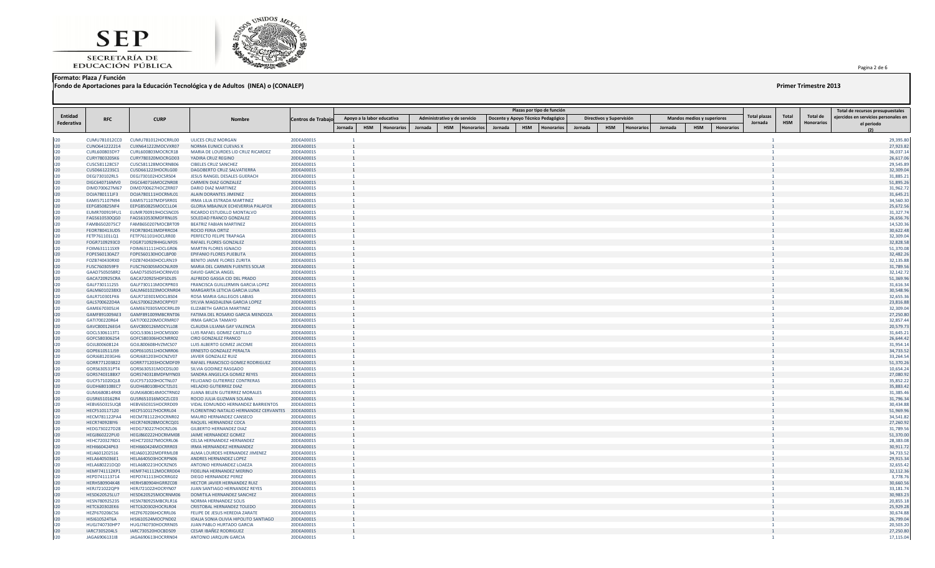



**Formato: Plaza / Función**

**Fondo de Aportaciones para la Educación Tecnológica y de Adultos (INEA) o (CONALEP) Primer Trimestre 2013**

### Pagina 2 de 6 .

|            |                                |                                          |                                                                   |                           |         |                            |                   |         |                              |           |         |            | Plazas por tipo de función         |         |                          |                   |         |                            |                   |              |            |                   | Total de recursos presupuestales     |
|------------|--------------------------------|------------------------------------------|-------------------------------------------------------------------|---------------------------|---------|----------------------------|-------------------|---------|------------------------------|-----------|---------|------------|------------------------------------|---------|--------------------------|-------------------|---------|----------------------------|-------------------|--------------|------------|-------------------|--------------------------------------|
| Entidad    | <b>RFC</b>                     | <b>CURP</b>                              | <b>Nombre</b>                                                     | <b>Centros de Trabajo</b> |         | Apoyo a la labor educativa |                   |         | Administrativo y de servicio |           |         |            | Docente y Apoyo Técnico Pedagógico |         | Directivos y Supervisión |                   |         | Mandos medios y superiores |                   | Total plazas | Total      | Total de          | ejercidos en servicios personales en |
| Federativa |                                |                                          |                                                                   |                           | Iornada | <b>HSM</b>                 | <b>Honorarios</b> | Jornada | <b>HSM</b>                   | Honorario | Jornada | <b>HSM</b> | <b>Honorarios</b>                  | Jornada | <b>HSM</b>               | <b>Honorarios</b> | Jornada | <b>HSM</b>                 | <b>Honorarios</b> | Jornada      | <b>HSM</b> | <b>Honorarios</b> | el periodo                           |
|            |                                |                                          |                                                                   |                           |         |                            |                   |         |                              |           |         |            |                                    |         |                          |                   |         |                            |                   |              |            |                   |                                      |
| 120        | CUMU781012CC0                  | CUMU781012HOCRRL00                       | ULICES CRUZ MORGAN                                                | 20DEA0001S                |         |                            |                   |         |                              |           |         |            |                                    |         |                          |                   |         |                            |                   |              |            |                   | 29,395.80                            |
| 120<br>120 | CUNO641222214<br>CURL600803DY7 | CUXN641222MOCVXR07                       | <b>NORMA EUNICE CUEVAS X</b>                                      | 20DEA0001S                |         |                            |                   |         |                              |           |         |            |                                    |         |                          |                   |         |                            |                   |              |            |                   | 27,923.82<br>36,037.14               |
| 120        | CURY780320SK6                  | CURL600803MOCRCR18<br>CURY780320MOCRGD03 | MARIA DE LOURDES LID CRUZ RICARDEZ<br>YADIRA CRUZ REGINO          | 20DEA0001S<br>20DEA0001S  |         |                            |                   |         |                              |           |         |            |                                    |         |                          |                   |         |                            |                   |              |            |                   | 26,617.06                            |
| 120        | CUSC581128CS7                  | CUSC581128MOCRNB06                       | <b>CIBELES CRUZ SANCHEZ</b>                                       | 20DEA0001S                |         |                            |                   |         |                              |           |         |            |                                    |         |                          |                   |         |                            |                   |              |            |                   | 29,545.89                            |
| 120        | CUSD661223SC1                  | CUSD661223HOCRLG00                       | DAGOBERTO CRUZ SALVATIERRA                                        | 20DEA0001S                |         |                            |                   |         |                              |           |         |            |                                    |         |                          |                   |         |                            |                   |              |            |                   | 32,309.04                            |
| 120        | DEGJ730102RL5                  | DEGJ730102HOCSRS04                       | JESUS RANGEL DESALES GUERACH                                      | 20DEA0001S                |         |                            |                   |         |                              |           |         |            |                                    |         |                          |                   |         |                            |                   |              |            |                   | 31,885.21                            |
| 120<br>120 | DIGC640716MV0<br>DIMD700627M67 | DIGC640716MOCZNR08<br>DIMD700627HOCZRR07 | <b>CARMEN DIAZ GONZALEZ</b><br><b>DARIO DIAZ MARTINEZ</b>         | 20DEA0001S<br>20DEA0001S  |         |                            |                   |         |                              |           |         |            |                                    |         |                          |                   |         |                            |                   |              |            |                   | 51,895.26<br>31,962.72               |
| 120        | DOJA780111JF3                  | DOJA780111HOCRML01                       | <b>ALAIN DORANTES JIMENEZ</b>                                     | 20DEA0001S                |         |                            |                   |         |                              |           |         |            |                                    |         |                          |                   |         |                            |                   |              |            |                   | 31,645.21                            |
| 120        | EAMI571107N94                  | EAMI571107MDFSRR01                       | IRMA LILIA ESTRADA MARTINEZ                                       | 20DEA0001S                |         |                            |                   |         |                              |           |         |            |                                    |         |                          |                   |         |                            |                   |              |            |                   | 34,560.30                            |
| 120        | EEPG850825NF4                  | EEPG850825MOCCLL04                       | GLORIA MBAJNUX ECHEVERRIA PALAFOX                                 | 20DEA0001S                |         |                            |                   |         |                              |           |         |            |                                    |         |                          |                   |         |                            |                   |              |            |                   | 25,672.56                            |
| 120        | EUMR700919FU1                  | EUMR700919HOCSNC05                       | RICARDO ESTUDILLO MONTALVO                                        | 20DEA0001S                |         |                            |                   |         |                              |           |         |            |                                    |         |                          |                   |         |                            |                   |              |            |                   | 31,327.74                            |
| 120<br>120 | FAGS610530QG0<br>FAMB6502075C7 | FAGS610530MDFRNL05<br>FAMB650207MOCBRT09 | SOLEDAD FRANCO GONZALEZ<br><b>BEATRIZ FABIAN MARTINEZ</b>         | 20DEA0001S<br>20DEA0001S  |         |                            |                   |         |                              |           |         |            |                                    |         |                          |                   |         |                            |                   |              |            |                   | 26,656.76<br>14,520.36               |
| 120        | FEOR780413UD5                  | FEOR780413MDFRRC04                       | <b>ROCIO FERIA ORTIZ</b>                                          | 20DEA0001S                |         |                            |                   |         |                              |           |         |            |                                    |         |                          |                   |         |                            |                   |              |            |                   | 30,622.48                            |
| 120        | FETP761101LQ1                  | FETP761101HOCLRR00                       | PERFECTO FELIPE TRAPAGA                                           | 20DEA0001S                |         |                            |                   |         |                              |           |         |            |                                    |         |                          |                   |         |                            |                   |              |            |                   | 32,309.04                            |
| 120        | FOGR7109293C0                  | FOGR710929HHGLNF05                       | RAFAEL FLORES GONZALEZ                                            | 20DEA0001S                |         |                            |                   |         |                              |           |         |            |                                    |         |                          |                   |         |                            |                   |              |            |                   | 32,828.58                            |
| 120        | FOIM631111SX9                  | FOIM631111HOCLGR06                       | <b>MARTIN FLORES IGNACIO</b>                                      | 20DEA0001S                |         |                            |                   |         |                              |           |         |            |                                    |         |                          |                   |         |                            |                   |              |            |                   | 51,370.08                            |
| 120<br>120 | FOPE560130AZ7<br>FOZB740430RX0 | FOPE560130HOCLBP00<br>FOZB740430HOCLRN19 | EPIFANIO FLORES PUEBLITA<br><b>BENITO JAIME FLORES ZURITA</b>     | 20DEA0001S                |         |                            |                   |         |                              |           |         |            |                                    |         |                          |                   |         |                            |                   |              |            |                   | 32,482.26<br>32,135.88               |
| 120        | FUSC7603059F9                  | FUSC760305MOCNLR09                       | MARIA DEL CARMEN FUENTES SOLAR                                    | 20DEA0001S<br>20DEA0001S  |         |                            |                   |         |                              |           |         |            |                                    |         |                          |                   |         |                            |                   |              |            |                   | 31,789.56                            |
| 120        | GAAD7505058R2                  | GAAD750505HOCRNV03                       | <b>DAVID GARCIA ANGEL</b>                                         | 20DEA0001S                |         |                            |                   |         |                              |           |         |            |                                    |         |                          |                   |         |                            |                   |              |            |                   | 32,142.72                            |
| 120        | GACA720925CRA                  | GACA720925HDFSDL05                       | ALFREDO GASGA CID DEL PRADO                                       | 20DEA0001S                |         |                            |                   |         |                              |           |         |            |                                    |         |                          |                   |         |                            |                   |              |            |                   | 51,369.96                            |
| 120        | GALF7301112S5                  | GALF730111MOCRPR03                       | FRANCISCA GUILLERMIN GARCIA LOPEZ                                 | 20DEA0001S                |         |                            |                   |         |                              |           |         |            |                                    |         |                          |                   |         |                            |                   |              |            |                   | 31,616.34                            |
| 120        | GALM6010238X3                  | GALM601023MOCRNR04                       | MARGARITA LETICIA GARCIA LUNA                                     | 20DEA0001S                |         |                            |                   |         |                              |           |         |            |                                    |         |                          |                   |         |                            |                   |              |            |                   | 30,548.96                            |
| 120<br>120 | GALR710301FK6<br>GALS700622D4A | GALR710301MOCLBS04<br>GALS700622MOCRPY07 | ROSA MARIA GALLEGOS LABIAS<br>SYLVIA MAGDALENA GARCIA LOPEZ       | 20DEA0001S<br>20DEA0001S  |         |                            |                   |         |                              |           |         |            |                                    |         |                          |                   |         |                            |                   |              |            |                   | 32,655.36<br>23,816.88               |
| 120        | GAME670305JJ4                  | GAME670305MOCRRL09                       | <b>ELIZABETH GARCIA MARTINEZ</b>                                  | 20DEA0001S                |         |                            |                   |         |                              |           |         |            |                                    |         |                          |                   |         |                            |                   |              |            |                   | 32,309.04                            |
| 120        | GAMF891009AE3                  | GAMF891009MBCRNT06                       | FATIMA DEL ROSARIO GARCIA MENDOZA                                 | 20DEA0001S                |         |                            |                   |         |                              |           |         |            |                                    |         |                          |                   |         |                            |                   |              |            |                   | 27,250.80                            |
| 120        | GATI700220R64                  | GATI700220MOCRMR07                       | <b>IRMA GARCIA TAMAYO</b>                                         | 20DEA0001S                |         |                            |                   |         |                              |           |         |            |                                    |         |                          |                   |         |                            |                   |              |            |                   | 32,857.44                            |
| 120        | GAVC800126EG4                  | GAVC800126MOCYLL08                       | CLAUDIA LILIANA GAY VALENCIA                                      | 20DEA0001S                |         |                            |                   |         |                              |           |         |            |                                    |         |                          |                   |         |                            |                   |              |            |                   | 20,579.73                            |
| 120<br>120 | GOCL5306113T1<br>GOFC5803062S4 | GOCL530611HOCMSS00<br>GOFC580306HOCNRR02 | LUIS RAFAEL GOMEZ CASTILLO<br><b>CIRO GONZALEZ FRANCO</b>         | 20DEA0001S<br>20DEA0001S  |         |                            |                   |         |                              |           |         |            |                                    |         |                          |                   |         |                            |                   |              |            |                   | 31,645.21<br>26,644.42               |
| 120        | GOJL800608124                  | GOJL800608HVZMCS07                       | LUIS ALBERTO GOMEZ JACOME                                         | 20DEA0001S                |         |                            |                   |         |                              |           |         |            |                                    |         |                          |                   |         |                            |                   |              |            |                   | 31,954.14                            |
| 120        | GOPE610511J59                  | GOPE610511HOCNRR06                       | <b>ERNESTO GONZALEZ PERALTA</b>                                   | 20DEA0001S                |         |                            |                   |         |                              |           |         |            |                                    |         |                          |                   |         |                            |                   |              |            |                   | 34,733.52                            |
| 120        | GORJ681203GH6                  | GORJ681203HOCNZV07                       | JAVIER GONZALEZ RUIZ                                              | 20DEA0001S                |         |                            |                   |         |                              |           |         |            |                                    |         |                          |                   |         |                            |                   |              |            |                   | 33,264.54                            |
| 120        | GORR771203822                  | GORR771203HOCMDF09                       | RAFAEL FRANCISCO GOMEZ RODRIGUEZ                                  | 20DEA0001S                |         |                            |                   |         |                              |           |         |            |                                    |         |                          |                   |         |                            |                   |              |            |                   | 51,370.26                            |
| 120        | GORS630531PT4                  | GORS630531MOCDSL00                       | SILVIA GODINEZ RASGADO                                            | 20DEA0001S                |         |                            |                   |         |                              |           |         |            |                                    |         |                          |                   |         |                            |                   |              |            |                   | 10,654.24                            |
| 120<br>120 | GORS740318BX7<br>GUCF571020QL8 | GORS740318MDFMYN03<br>GUCF571020HOCTNL07 | SANDRA ANGELICA GOMEZ REYES<br>FELICIANO GUTIERREZ CONTRERAS      | 20DEA0001S<br>20DEA0001S  |         |                            |                   |         |                              |           |         |            |                                    |         |                          |                   |         |                            |                   |              |            |                   | 27,080.92<br>35,852.22               |
| 120        | GUDH680108EC7                  | GUDH680108HOCTZL01                       | HELADIO GUTIERREZ DIAZ                                            | 20DEA0001S                |         |                            |                   |         |                              |           |         |            |                                    |         |                          |                   |         |                            |                   |              |            |                   | 35,883.42                            |
| 120        | GUMJ680814RK8                  | GUMJ680814MOCTRN02                       | JUANA BELEN GUTIERREZ MORALES                                     | 20DEA0001S                |         |                            |                   |         |                              |           |         |            |                                    |         |                          |                   |         |                            |                   |              |            |                   | 31,385.46                            |
| 120        | GUSR6510162R4                  | GUSR651016MOCZLC03                       | ROCIO JULIA GUZMAN SOLANA                                         | 20DEA0001S                |         |                            |                   |         |                              |           |         |            |                                    |         |                          |                   |         |                            |                   |              |            |                   | 31,796.34                            |
| 120        | HEBV650315UQ8                  | HEBV650315HOCRRD09                       | VIDAL EDMUNDO HERNANDEZ BARRIENTOS                                | 20DEA0001S                |         |                            |                   |         |                              |           |         |            |                                    |         |                          |                   |         |                            |                   |              |            |                   | 30,434.88                            |
| 120<br>120 | HECF510117120<br>HECM781122PA4 | HECF510117HOCRRL04<br>HECM781122HOCRNR02 | FLORENTINO NATALIO HERNANDEZ CERVANTES<br>MAURO HERNANDEZ CANSECO | 20DEA0001S<br>20DEA0001S  |         |                            |                   |         |                              |           |         |            |                                    |         |                          |                   |         |                            |                   |              |            |                   | 51,969.96<br>34,541.82               |
| 120        | HECR740928IY6                  | HECR740928MOCRCQ01                       | RAQUEL HERNANDEZ COCA                                             | 20DEA0001S                |         |                            |                   |         |                              |           |         |            |                                    |         |                          |                   |         |                            |                   |              |            |                   | 27,260.92                            |
| 120        | HEDG730227D28                  | HEDG730227HOCRZL06                       | <b>GILBERTO HERNANDEZ DIAZ</b>                                    | 20DEA0001S                |         |                            |                   |         |                              |           |         |            |                                    |         |                          |                   |         |                            |                   |              |            |                   | 31,789.56                            |
| 120        | HEGJ860222PU0                  | HEGJ860222HOCRMM08                       | JAIME HERNANDEZ GOMEZ                                             | 20DEA0001S                |         |                            |                   |         |                              |           |         |            |                                    |         |                          |                   |         |                            |                   |              |            |                   | 51,370.00                            |
| 120        | HEHC720327BD1                  | HEHC720327MOCRRL06                       | CELSA HERNANDEZ HERNANDEZ                                         | 20DEA0001S                |         |                            |                   |         |                              |           |         |            |                                    |         |                          |                   |         |                            |                   |              |            |                   | 28,383.08                            |
| 120<br>120 | HEHI660424P63<br>HEJA601202516 | HEHI660424MOCRRR03<br>HEJA601202MDFRML08 | IRMA HERNANDEZ HERNANDEZ<br>ALMA LOURDES HERNANDEZ JIMENEZ        | 20DEA0001S<br>20DEA0001S  |         |                            |                   |         |                              |           |         |            |                                    |         |                          |                   |         |                            |                   |              |            |                   | 30,911.72                            |
| 120        | HELA6405036E1                  | HELA640503HOCRPN06                       | ANDRES HERNANDEZ LOPEZ                                            | 20DEA0001S                |         |                            |                   |         |                              |           |         |            |                                    |         |                          |                   |         |                            |                   |              |            |                   | 34,733.52<br>29,915.34               |
| 120        | HELA680221DQ0                  | HELA680221HOCRZN05                       | ANTONIO HERNANDEZ LOAEZA                                          | 20DEA0001S                |         |                            |                   |         |                              |           |         |            |                                    |         |                          |                   |         |                            |                   |              |            |                   | 32,655.42                            |
| 120        | HEMF741112KP1                  | HEMF741112MOCRRD04                       | FIDELINA HERNANDEZ MERINO                                         | 20DEA0001S                |         |                            |                   |         |                              |           |         |            |                                    |         |                          |                   |         |                            |                   |              |            |                   | 32,112.36                            |
| 120        | HEPD741113714                  | HEPD741113HOCRRG02                       | <b>DIEGO HERNANDEZ PEREZ</b>                                      | 20DEA0001S                |         |                            |                   |         |                              |           |         |            |                                    |         |                          |                   |         |                            |                   |              |            |                   | 3,778.76                             |
| 120        | HERH580904K48                  | HERH580904HGRRZC08                       | HECTOR JAVIER HERNANDEZ RUIZ                                      | 20DEA0001S                |         |                            |                   |         |                              |           |         |            |                                    |         |                          |                   |         |                            |                   |              |            |                   | 30,660.56                            |
| 120<br>120 | HERJ721022QP9<br>HESD620525LU7 | HERJ721022HOCRYN07<br>HESD620525MOCRNM06 | JUAN SANTIAGO HERNANDEZ REYES<br>DOMITILA HERNANDEZ SANCHEZ       | 20DEA0001S<br>20DEA0001S  |         |                            |                   |         |                              |           |         |            |                                    |         |                          |                   |         |                            |                   |              |            |                   | 33,181.74<br>30,983.23               |
| 120        | HESN780925235                  | HESN780925MBCRLR16                       | NORMA HERNANDEZ SOLIS                                             | 20DEA0001S                |         |                            |                   |         |                              |           |         |            |                                    |         |                          |                   |         |                            |                   |              |            |                   | 20,855.18                            |
| 120        | HETC620302EK6                  | HETC620302HOCRLR04                       | <b>CRISTOBAL HERNANDEZ TOLEDO</b>                                 | 20DEA0001S                |         |                            |                   |         |                              |           |         |            |                                    |         |                          |                   |         |                            |                   |              |            |                   | 25,929.28                            |
| 120        | HEZF670206C56                  | HEZF670206HOCRRL06                       | FELIPE DE JESUS HEREDIA ZARATE                                    | 20DEA0001S                |         |                            |                   |         |                              |           |         |            |                                    |         |                          |                   |         |                            |                   |              |            |                   | 30,674.88                            |
| 120        | HISI610524T6A                  | HISI610524MOCPND02                       | IDALIA SONIA OLIVIA HIPOLITO SANTIAGO                             | 20DEA0001S                |         |                            |                   |         |                              |           |         |            |                                    |         |                          |                   |         |                            |                   |              |            |                   | 26,799.04                            |
| 120<br>120 | HUGJ740730HP7<br>IARC7305204L5 | HUGJ740730HOCRRN05<br>IARC730520HOCBDS09 | JUAN PABLO HURTADO GARCIA<br><b>CESAR IBAÑEZ RODRIGUEZ</b>        | 20DEA0001S<br>20DEA0001S  |         |                            |                   |         |                              |           |         |            |                                    |         |                          |                   |         |                            |                   |              |            |                   | 20,503.20<br>27,250.80               |
| 120        | JAGA6906131I8                  | JAGA690613HOCRRN04                       | ANTONIO JARQUIN GARCIA                                            | 20DEA0001S                | -1      |                            |                   |         |                              |           |         |            |                                    |         |                          |                   |         |                            |                   |              |            |                   | 17,115.04                            |
|            |                                |                                          |                                                                   |                           |         |                            |                   |         |                              |           |         |            |                                    |         |                          |                   |         |                            |                   |              |            |                   |                                      |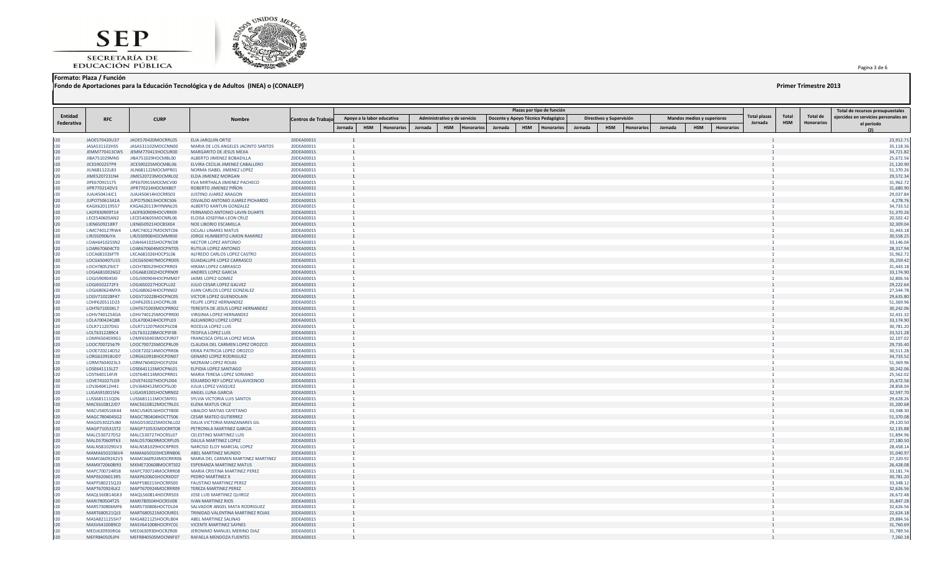SECRETARÍA DE<br>EDUCACIÓN PÚBLICA



### **Formato: Plaza / Función**

**Fondo de Aportaciones para la Educación Tecnológica y de Adultos (INEA) o (CONALEP) Primer Trimestre 2013**

Pagina 3 de 6 .

|            |                                |                                          |                                                                |                           |                |                                 |         |                              |           |         |            | Plazas por tipo de función         |         |                          |            |         |                            |            |              |            |                   | Total de recursos presupuestales     |
|------------|--------------------------------|------------------------------------------|----------------------------------------------------------------|---------------------------|----------------|---------------------------------|---------|------------------------------|-----------|---------|------------|------------------------------------|---------|--------------------------|------------|---------|----------------------------|------------|--------------|------------|-------------------|--------------------------------------|
| Entidad    | <b>RFC</b>                     | <b>CURP</b>                              | <b>Nombre</b>                                                  |                           |                | Apoyo a la labor educativa      |         | Administrativo y de servicio |           |         |            | Docente y Apoyo Técnico Pedagógico |         | Directivos y Supervisión |            |         | Mandos medios y superiores |            | Total plazas | Total      | Total de          | ejercidos en servicios personales en |
| Federativa |                                |                                          |                                                                | <b>Centros de Trabajo</b> | Iornada        | <b>HSM</b><br><b>Honorarios</b> | Jornada | <b>HSM</b>                   | Honorario | Jornada | <b>HSM</b> | <b>Honorarios</b>                  | Jornada | <b>HSM</b>               | Honorarios | Jornada | <b>HSM</b>                 | Honorarios | Jornada      | <b>HSM</b> | <b>Honorarios</b> | el periodo                           |
|            |                                |                                          |                                                                |                           |                |                                 |         |                              |           |         |            |                                    |         |                          |            |         |                            |            |              |            |                   |                                      |
| 120        | JA0E570420U37                  | JAOE570420MOCRRL05                       | ELIA JARQUIN ORTIZ                                             | 20DEA0001S                |                |                                 |         |                              |           |         |            |                                    |         |                          |            |         |                            |            |              |            |                   | 23,912.71                            |
| 120        | JASA531102HS5                  | JASA531102MOCCNN00                       | MARIA DE LOS ANGELES JACINTO SANTOS                            | 20DEA0001S                |                |                                 |         |                              |           |         |            |                                    |         |                          |            |         |                            |            |              |            |                   | 35,118.36                            |
| 120<br>120 | JEMM770413CW5<br>JIBA751029MN5 | JEMM770413HOCSJR00<br>JIBA751029HOCMBL00 | MARGARITO DE JESUS MEJIA<br>ALBERTO JIMENEZ BOBADILLA          | 20DEA0001S<br>20DEA0001S  |                |                                 |         |                              |           |         |            |                                    |         |                          |            |         |                            |            |              |            |                   | 34,721.82<br>25,672.56               |
| 120        | JICE590225TP9                  | JICE590225MOCMBL06                       | ELVIRA CECILIA JIMENEZ CABALLERO                               | 20DEA0001S                |                |                                 |         |                              |           |         |            |                                    |         |                          |            |         |                            |            |              |            |                   | 21,120.90                            |
| 120        | JILN681122L83                  | JILN681122MOCMPR01                       | NORMA ISABEL JIMENEZ LOPEZ                                     | 20DEA0001S                |                |                                 |         |                              |           |         |            |                                    |         |                          |            |         |                            |            |              |            |                   | 51,370.26                            |
| 120        | JIME5207231N4                  | JIME520723MOCMRL02                       | <b>ELDA JIMENEZ MORGAN</b>                                     | 20DEA0001S                |                |                                 |         |                              |           |         |            |                                    |         |                          |            |         |                            |            |              |            |                   | 29,572.34                            |
| 120<br>120 | JIPE670915175<br>JIPR770214DV3 | JIPE670915MOCMCV00<br>JIPR770214HOCMXB07 | EVA MIRTHALA JIMENEZ PACHECO<br>ROBERTO JIMENEZ PIÑON          | 20DEA0001S<br>20DEA0001S  |                |                                 |         |                              |           |         |            |                                    |         |                          |            |         |                            |            |              |            |                   | 31,962.72<br>31,680.90               |
| 120        | JUAJ450414JC1                  | JUAJ450414HOCRRS03                       | <b>JUSTINO JUAREZ ARAGON</b>                                   | 20DEA0001S                |                |                                 |         |                              |           |         |            |                                    |         |                          |            |         |                            |            |              |            |                   | 29,037.84                            |
| 120        | JUPO750613A1A                  | JUPO750613HOCRCS06                       | OSVALDO ANTONIO JUAREZ PICHARDO                                | 20DEA0001S                |                |                                 |         |                              |           |         |            |                                    |         |                          |            |         |                            |            |              |            |                   | 4,278.76                             |
| 120        | KAGX620119557                  | KXGA620119HYNNNL05                       | ALBERTO KANTUN GONZALEZ                                        | 20DEA0001S                |                |                                 |         |                              |           |         |            |                                    |         |                          |            |         |                            |            |              |            |                   | 34,733.52                            |
| 120        | LADF830909T14                  | LADF830909HOCVRR09                       | FERNANDO ANTONIO LAVIN DUARTE                                  | 20DEA0001S                |                |                                 |         |                              |           |         |            |                                    |         |                          |            |         |                            |            |              |            |                   | 51,370.26                            |
| 120<br>120 | LECE540605AN2<br>LIEN6509218R7 | LECE540605MOCNRL06<br>LIEN650921HOCBSX04 | ELOISA JOSEFINA LEON CRUZ<br>NOE LIBORIO ESCAMILLA             | 20DEA0001S<br>20DEA0001S  |                |                                 |         |                              |           |         |            |                                    |         |                          |            |         |                            |            |              |            |                   | 20,502.42<br>32,309.04               |
| 120        | LIMC740127RW4                  | LIMC740127MOCNTC06                       | <b>CICLALI LINARES MATUS</b>                                   | 20DEA0001S                |                |                                 |         |                              |           |         |            |                                    |         |                          |            |         |                            |            |              |            |                   | 31,443.18                            |
| 120        | LIRJ550906JYA                  | LIRJ550906HOCMMR00                       | JORGE HUMBERTO LIMON RAMIREZ                                   | 20DEA0001S                |                |                                 |         |                              |           |         |            |                                    |         |                          |            |         |                            |            |              |            |                   | 30,558.25                            |
| 120        | LOAH641025SN2                  | LOAH641025HOCPNC08                       | <b>HECTOR LOPEZ ANTONIO</b>                                    | 20DEA0001S                |                |                                 |         |                              |           |         |            |                                    |         |                          |            |         |                            |            |              |            |                   | 33,146.04                            |
| 120        | LOAR670604CT0                  | LOAR670604MOCPNT05                       | RUTILIA LOPEZ ANTONIO                                          | 20DEA0001S                |                |                                 |         |                              |           |         |            |                                    |         |                          |            |         |                            |            |              |            |                   | 28,317.94                            |
| 120<br>120 | LOCA681026FT9<br>LOCG650407U15 | LXCA681026HOCPSL06<br>LOCG650407MOCPRD05 | ALFREDO CARLOS LOPEZ CASTRO<br><b>GUADALUPE LOPEZ CARRASCO</b> | 20DEA0001S<br>20DEA0001S  |                |                                 |         |                              |           |         |            |                                    |         |                          |            |         |                            |            |              |            |                   | 31,962.72<br>35,259.42               |
| 120        | LOCH780529JC7                  | LOCH780529HOCPRR03                       | HIRAM LOPEZ CARRASCO                                           | 20DEA0001S                |                |                                 |         |                              |           |         |            |                                    |         |                          |            |         |                            |            |              |            |                   | 31,443.18                            |
| 120        | LOGA6810026G2                  | LOGA681002HOCPRN09                       | ANDRES LOPEZ GARCIA                                            | 20DEA0001S                |                |                                 |         |                              |           |         |            |                                    |         |                          |            |         |                            |            |              |            |                   | 33,174.90                            |
| 120        | LOGJ590904510                  | LOGJ590904HOCPMM07                       | JAIME LOPEZ GOMEZ                                              | 20DEA0001S                |                |                                 |         |                              |           |         |            |                                    |         |                          |            |         |                            |            |              |            |                   | 32,806.56                            |
| 120        | LOGJ6502272F3                  | LOGJ650227HOCPLL02                       | JULIO CESAR LOPEZ GALVEZ                                       | 20DEA0001S                |                |                                 |         |                              |           |         |            |                                    |         |                          |            |         |                            |            |              |            |                   | 29,222.64                            |
| 120<br>120 | LOGJ680624MYA<br>LOGV710228F47 | LOGJ680624HOCPNN02<br>LOGV710228HOCPNC05 | JUAN CARLOS LOPEZ GONZALEZ                                     | 20DEA0001S<br>20DEA0001S  |                |                                 |         |                              |           |         |            |                                    |         |                          |            |         |                            |            |              |            |                   | 27,544.78<br>29,635.80               |
| 120        | LOHF620511D23                  | LOHF620511HOCPRL08                       | VICTOR LOPEZ GUENDOLAIN<br>FELIPE LOPEZ HERNANDEZ              | 20DEA0001S                |                |                                 |         |                              |           |         |            |                                    |         |                          |            |         |                            |            |              |            |                   | 51,369.96                            |
| 120        | LOHT671003KL7                  | LOHT671003MOCPRR02                       | TERESITA DE JESUS LOPEZ HERNANDEZ                              | 20DEA0001S                |                |                                 |         |                              |           |         |            |                                    |         |                          |            |         |                            |            |              |            |                   | 30,242.06                            |
| 120        | LOHV7401254GA                  | LOHV740125MOCPRR00                       | VIRGINIA LOPEZ HERNANDEZ                                       | 20DEA0001S                |                |                                 |         |                              |           |         |            |                                    |         |                          |            |         |                            |            |              |            |                   | 32,431.32                            |
| 120        | LOLA700424Q88                  | LOLA700424HOCPPL03                       | ALEJANDRO LOPEZ LOPEZ                                          | 20DEA0001S                |                |                                 |         |                              |           |         |            |                                    |         |                          |            |         |                            |            |              |            |                   | 33,174.90                            |
| 120        | LOLR711207D61                  | LOLR711207MOCPSC08                       | ROCELIA LOPEZ LUIS                                             | 20DEA0001S                |                |                                 |         |                              |           |         |            |                                    |         |                          |            |         |                            |            |              |            |                   | 30,781.20                            |
| 120<br>120 | LOLT6312289C4<br>LOMF6504039G1 | LOLT631228MOCPSF08<br>LOMF650403MOCPJR07 | <b>TEOFILA LOPEZ LUIS</b><br>FRANCISCA OFELIA LOPEZ MEJIA      | 20DEA0001S<br>20DEA0001S  |                |                                 |         |                              |           |         |            |                                    |         |                          |            |         |                            |            |              |            |                   | 33,521.28<br>32,107.02               |
| 120        | LOOC700725679                  | LOOC700725MOCPRL09                       | CLAUDIA DEL CARMEN LOPEZ OROZCO                                | 20DEA0001S                |                |                                 |         |                              |           |         |            |                                    |         |                          |            |         |                            |            |              |            |                   | 29,735.40                            |
| 120        | LOOE720214D52                  | LOOE720214MOCPRR06                       | ERIKA PATRICIA LOPEZ OROZCO                                    | 20DEA0001S                |                |                                 |         |                              |           |         |            |                                    |         |                          |            |         |                            |            |              |            |                   | 30,511.28                            |
| 120        | LORG610918UD7                  | LORG610918HOCPDN07                       | <b>GENARO LOPEZ RODRIGUEZ</b>                                  | 20DEA0001S                |                |                                 |         |                              |           |         |            |                                    |         |                          |            |         |                            |            |              |            |                   | 34,733.52                            |
| 120        | LORM7604023L3                  | LORM760402HOCPJZ04                       | MIZRAIM LOPEZ ROJAS                                            | 20DEA0001S                |                |                                 |         |                              |           |         |            |                                    |         |                          |            |         |                            |            |              |            |                   | 51,369.96                            |
| 120<br>120 | LOSE641115LZ7<br>LOST640114FJ9 | LOSE641115MOCPNL01<br>LOST640114MOCPRR01 | ELPIDIA LOPEZ SANTIAGO<br>MARIA TERESA LOPEZ SORIANO           | 20DEA0001S<br>20DEA0001S  |                |                                 |         |                              |           |         |            |                                    |         |                          |            |         |                            |            |              |            |                   | 30,242.06<br>25,562.02               |
| 120        | LOVE741027LG9                  | LOVE741027HOCPLD04                       | EDUARDO REY LOPEZ VILLAVICENCIO                                | 20DEA0001S                |                |                                 |         |                              |           |         |            |                                    |         |                          |            |         |                            |            |              |            |                   | 25,672.56                            |
| 120        | LOVJ640412H41                  | LOVJ640412MOCPSL00                       | JULIA LOPEZ VASQUEZ                                            | 20DEA0001S                |                |                                 |         |                              |           |         |            |                                    |         |                          |            |         |                            |            |              |            |                   | 28,858.04                            |
| 120        | LUGA5910015F6                  | LUGA591001HOCNRN02                       | ANGEL LUNA GARCIA                                              | 20DEA0001S                |                |                                 |         |                              |           |         |            |                                    |         |                          |            |         |                            |            |              |            |                   | 32,597.70                            |
| 120        | LUSS681111QD6                  | LUSS681111MOCSNY01                       | SYLVIA VICTORIA LUIS SANTOS                                    | 20DEA0001S                |                |                                 |         |                              |           |         |            |                                    |         |                          |            |         |                            |            |              |            |                   | 29,628.26                            |
| 120<br>120 | MACE610812JD7<br>MACU540516K44 | MACE610812MOCTRL01<br>MACU540516HOCTYB00 | ELENA MATUS CRUZ<br><b>UBALDO MATIAS CAYETANO</b>              | 20DEA0001S<br>20DEA0001S  |                |                                 |         |                              |           |         |            |                                    |         |                          |            |         |                            |            |              |            |                   | 31,200.68<br>33,348.30               |
| 120        | MAGC780404SG2                  | MAGC780404HOCTTS06                       | <b>CESAR MATEO GUTIERREZ</b>                                   | 20DEA0001S                |                |                                 |         |                              |           |         |            |                                    |         |                          |            |         |                            |            |              |            |                   | 51,370.08                            |
| 120        | MAGD530225JB0                  | MAGD530225MOCNLL02                       | DALIA VICTORIA MANZANARES GIL                                  | 20DEA0001S                |                |                                 |         |                              |           |         |            |                                    |         |                          |            |         |                            |            |              |            |                   | 29,120.50                            |
| 120        | MAGP710531ST2                  | MAGP710531MOCRRT08                       | PETRONILA MARTINEZ GARCIA                                      | 20DEA0001S                |                |                                 |         |                              |           |         |            |                                    |         |                          |            |         |                            |            |              |            |                   | 32,135.88                            |
| 120        | MALC530727D52                  | MALC530727HOCRSL07                       | <b>CELESTINO MARTINEZ LUIS</b>                                 | 20DEA0001S                |                |                                 |         |                              |           |         |            |                                    |         |                          |            |         |                            |            |              |            |                   | 51,894.96                            |
| 120<br>120 | MALD570609T63<br>MALN581029GV3 | MALD570609MOCRPL05<br>MALN581029HOCRPR05 | DALILA MARTINEZ LOPEZ<br>NARCISO ELOY MARCIAL LOPEZ            | 20DEA0001S<br>20DEA0001S  |                |                                 |         |                              |           |         |            |                                    |         |                          |            |         |                            |            |              |            |                   | 27,180.50<br>28,458.14               |
| 120        | MAMA6501036V4                  | MAMA650103HCSRNB06                       | ABEL MARTINEZ MUNDO                                            | 20DEA0001S                |                |                                 |         |                              |           |         |            |                                    |         |                          |            |         |                            |            |              |            |                   | 31,040.97                            |
| 120        | MAMC6609242V3                  | MAMC660924MOCRRR06                       | MARIA DEL CARMEN MARTINEZ MARTINEZ                             | 20DEA0001S                |                |                                 |         |                              |           |         |            |                                    |         |                          |            |         |                            |            |              |            |                   | 27,320.92                            |
| 120        | MAMX720608I93                  | MXME720608MOCRTS02                       | <b>ESPERANZA MARTINEZ MATUS</b>                                | 20DEA0001S                |                |                                 |         |                              |           |         |            |                                    |         |                          |            |         |                            |            |              |            |                   | 26,428.08                            |
| 120        | MAPC700724R58                  | MAPC700724MOCRRR08                       | MARIA CRISTINA MARTINEZ PEREZ                                  | 20DEA0001S                |                |                                 |         |                              |           |         |            |                                    |         |                          |            |         |                            |            |              |            |                   | 33,181.74                            |
| 120<br>120 | MAPE6206013R5                  | MAXP620601HOCRXD07                       | PEDRO MARTINEZ X                                               | 20DEA0001S                |                |                                 |         |                              |           |         |            |                                    |         |                          |            |         |                            |            |              |            |                   | 30,781.20                            |
| 120        | MAPF580215Q33<br>MAPT670924LK2 | MAPF580215HOCRRS00<br>MAPT670924MOCRRR09 | <b>FAUSTINO MARTINEZ PEREZ</b><br><b>TEREZA MARTINEZ PEREZ</b> | 20DEA0001S<br>20DEA0001S  |                |                                 |         |                              |           |         |            |                                    |         |                          |            |         |                            |            |              |            |                   | 33,348.12<br>32,626.56               |
| 120        | MAQL560814GK3                  | MAQL560814HOCRRS03                       | JOSE LUIS MARTINEZ QUIROZ                                      | 20DEA0001S                |                |                                 |         |                              |           |         |            |                                    |         |                          |            |         |                            |            |              |            |                   | 26,672.48                            |
| 120        | MARI780504T25                  | MARI780504HOCRSV08                       | <b>IVAN MARTINEZ RIOS</b>                                      | 20DEA0001S                | $\overline{1}$ |                                 |         |                              |           |         |            |                                    |         |                          |            |         |                            |            |              |            |                   | 31,847.28                            |
| 120        | MARS730806MF6                  | MARS730806HOCTDL04                       | SALVADOR ANGEL MATA RODRIGUEZ                                  | 20DEA0001S                |                |                                 |         |                              |           |         |            |                                    |         |                          |            |         |                            |            |              |            |                   | 32,626.56                            |
| 120        | MART680521QJ3                  | MART680521MOCRJR01                       | TRINIDAD VALENTINA MARTINEZ ROJAS                              | 20DEA0001S                |                |                                 |         |                              |           |         |            |                                    |         |                          |            |         |                            |            |              |            |                   | 22,624.18                            |
| 120<br>120 | MASA8211255H7<br>MASV6410089C0 | MASA821125HOCRLB04<br>MASV641008HOCRYC01 | ABEL MARTINEZ SALINAS<br><b>VICENTE MARTINEZ SAYNES</b>        | 20DEA0001S<br>20DEA0001S  |                |                                 |         |                              |           |         |            |                                    |         |                          |            |         |                            |            |              |            |                   | 29,884.56<br>31,760.69               |
| 120        | MEDJ630930RG6                  | MEDJ630930HOCRZR00                       | JERONIMO MANUEL MERINO DIAZ                                    | 20DEA0001S                |                |                                 |         |                              |           |         |            |                                    |         |                          |            |         |                            |            |              |            |                   | 31,789.56                            |
| 120        | MEFR840505JP4                  | MEFR840505MOCNNF07                       | RAFAELA MENDOZA FUENTES                                        | 20DEA0001S                |                |                                 |         |                              |           |         |            |                                    |         |                          |            |         |                            |            |              |            |                   | 7,260.18                             |
|            |                                |                                          |                                                                |                           |                |                                 |         |                              |           |         |            |                                    |         |                          |            |         |                            |            |              |            |                   |                                      |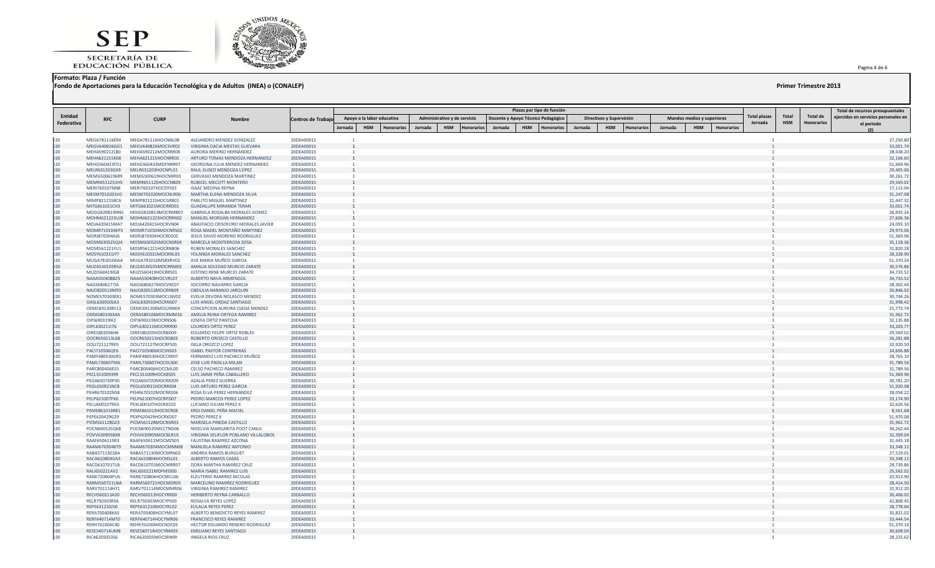



**Formato: Plaza / Función**

**Fondo de Aportaciones para la Educación Tecnológica y de Adultos (INEA) o (CONALEP) Primer Trimestre 2013**

Pagina 4 de 6 .

|                |                                |                                                        |                                                               |                          |                |                            |           |         |                              |                   |         |            | Plazas por tipo de función         |         |                                 |         |                                   |            |                   |              |            |                   | Total de recursos presupuestales     |
|----------------|--------------------------------|--------------------------------------------------------|---------------------------------------------------------------|--------------------------|----------------|----------------------------|-----------|---------|------------------------------|-------------------|---------|------------|------------------------------------|---------|---------------------------------|---------|-----------------------------------|------------|-------------------|--------------|------------|-------------------|--------------------------------------|
| <b>Entidad</b> |                                |                                                        |                                                               |                          |                | Apoyo a la labor educativa |           |         | Administrativo y de servicio |                   |         |            |                                    |         |                                 |         | <b>Mandos medios y superiores</b> |            |                   | Total plazas | Total      | Total de          | ejercidos en servicios personales en |
| Federativa     | <b>RFC</b>                     | <b>CURP</b>                                            | <b>Nombre</b>                                                 | Centros de Trabajo       |                |                            |           |         |                              |                   |         |            | Docente y Apoyo Técnico Pedagógico |         | Directivos y Supervisión        |         |                                   |            |                   | Jornada      | <b>HSM</b> | <b>Honorarios</b> | el periodo                           |
|                |                                |                                                        |                                                               |                          | Jornada        | <b>HSM</b>                 | Honorario | Jornada | <b>HSM</b>                   | <b>Honorarios</b> | Jornada | <b>HSM</b> | <b>Honorarios</b>                  | Jornada | <b>HSM</b><br><b>Honorarios</b> | Jornada |                                   | <b>HSM</b> | <b>Honorarios</b> |              |            |                   |                                      |
| 120            | MEGA781116ER4                  | MEGA781116HOCNNL08                                     | ALEJANDRO MENDEZ GONZALEZ                                     | 20DEA0001S               |                |                            |           |         |                              |                   |         |            |                                    |         |                                 |         |                                   |            |                   |              |            |                   | 27,250.80                            |
| 120            | MEGV640826GG1                  | MEGV640826MOCSVR02                                     | VIRGINIA DACIA MESTAS GUEVARA                                 | 20DEA0001S               |                |                            |           |         |                              |                   |         |            |                                    |         |                                 |         |                                   |            |                   |              |            |                   | 33,001.74                            |
| 120            | MEHA590212LB0                  | MEHA590212MOCRRR08                                     | AURORA MERINO HERNANDEZ                                       | 20DEA0001S               |                |                            |           |         |                              |                   |         |            |                                    |         |                                 |         |                                   |            |                   |              |            |                   | 28,438.20                            |
| 120            | MEHA621215K68                  | MEHA621215HOCNRR01                                     | ARTURO TOMAS MENDOZA HERNANDEZ                                | 20DEA0001S               |                |                            |           |         |                              |                   |         |            |                                    |         |                                 |         |                                   |            |                   |              |            |                   | 32,166.60                            |
| 120            | MEHG560423FD1                  | MEHG560423MDFNRR07                                     | GEORGINA JULIA MENDEZ HERNANDEZ                               | 20DEA0001S               |                |                            |           |         |                              |                   |         |            |                                    |         |                                 |         |                                   |            |                   |              |            |                   | 51,669.96                            |
| 120<br>120     | MELR631203GX9<br>MEMG500619699 | MELR631203HOCNPL01<br>MEMG500619HOCNRR03               | RAUL ELISEO MENDOZA LOPEZ<br><b>GERVASIO MENDOZA MARTINEZ</b> | 20DEA0001S<br>20DEA0001S | $\overline{1}$ |                            |           |         |                              |                   |         |            |                                    |         |                                 |         |                                   |            |                   |              |            |                   | 29,405.06<br>30,261.72               |
| 120            |                                | MEMR6511251H5 MEMR651125HOCCNB09                       | RUBICEL MECOTT MONTERO                                        | 20DEA0001S               |                |                            |           |         |                              |                   |         |            |                                    |         |                                 |         |                                   |            |                   |              |            |                   | 29,569.02                            |
| 120            | MERI760107NN8                  | MERI760107HOCDYS03                                     | <b>ISAAC MEDINA REYNA</b>                                     | 20DEA0001S               |                |                            |           |         |                              |                   |         |            |                                    |         |                                 |         |                                   |            |                   |              |            |                   | 17,115.04                            |
| 120            | MESM7010201H1                  | MESM701020MOCNLR06                                     | MARTHA ELENA MENDOZA SILVA                                    | 20DEA0001S               |                |                            |           |         |                              |                   |         |            |                                    |         |                                 |         |                                   |            |                   |              |            |                   | 31,247.08                            |
| 120            | MIMP821215BC6                  | MIMP821215HOCGRB01                                     | PABLITO MIGUEL MARTINEZ                                       | 20DEA0001S               |                |                            |           |         |                              |                   |         |            |                                    |         |                                 |         |                                   |            |                   |              |            |                   | 21,447.32                            |
| 120            | MITG661021CH3                  | MITG661021MOCRRD01                                     | <b>GUADALUPE MIRANDA TERAN</b>                                | 20DEA0001S               |                |                            |           |         |                              |                   |         |            |                                    |         |                                 |         |                                   |            |                   |              |            |                   | 33,001.74                            |
| 120            | MOGG820814NN5                  | MOGG820814MOCRMB07                                     | GABRIELA ROSALBA MORALES GOMEZ                                | 20DEA0001S               |                |                            |           |         |                              |                   |         |            |                                    |         |                                 |         |                                   |            |                   |              |            |                   | 26,935.26                            |
| 120<br>120     | MOJA420415MA7                  | MOHM621223UJ8 MOHM621223HOCRRN02<br>MOJA420415HOCRVN04 | MANUEL MORGAN HERNANDEZ<br>ANASTACIO CRISOFORO MORALES JAVIER | 20DEA0001S<br>20DEA0001S |                |                            |           |         |                              |                   |         |            |                                    |         |                                 |         |                                   |            |                   |              |            |                   | 27,606.36<br>24,093.10               |
| 120            | MOMR710104EP3                  | MOMR710104MOCNRS02                                     | ROSA MADEL MONTAÑO MARTINEZ                                   | 20DEA0001S               |                |                            |           |         |                              |                   |         |            |                                    |         |                                 |         |                                   |            |                   |              |            |                   | 29,973.06                            |
| 120            | MORJ870304AJ6                  | MORJ870304HOCRDS02                                     | JESUS DAVID MORENO RODRIGUEZ                                  | 20DEA0001S               |                |                            |           |         |                              |                   |         |            |                                    |         |                                 |         |                                   |            |                   |              |            |                   | 51,369.96                            |
| 120            | MOSM630525QJ4                  | MOSM630525MOCNSR04                                     | <b>MARCELA MONTERROSA SOSA</b>                                | 20DEA0001S               |                |                            |           |         |                              |                   |         |            |                                    |         |                                 |         |                                   |            |                   |              |            |                   | 35,118.36                            |
| 120            | MOSR561221FU1                  | MOSR561221HOCRNB06                                     | <b>RUBEN MORALES SANCHEZ</b>                                  | 20DEA0001S               |                |                            |           |         |                              |                   |         |            |                                    |         |                                 |         |                                   |            |                   |              |            |                   | 31,820.28                            |
| 120            | MOSY610331IY7                  | MOSY610331MOCRNL03                                     | YOLANDA MORALES SANCHEZ                                       | 20DEA0001S               |                |                            |           |         |                              |                   |         |            |                                    |         |                                 |         |                                   |            |                   |              |            |                   | 28,328.90                            |
| 120            | MUGA781010AAA                  | MUGA781010MSRXRV02                                     | AVE MARIA MUÑOZ GARCIA                                        | 20DEA0001S               |                |                            |           |         |                              |                   |         |            |                                    |         |                                 |         |                                   |            |                   |              |            |                   | 51,370.26                            |
| 120<br>120     | MUZA530105R5A<br>MUZJ560419IG8 | MUZA530105MOCRRM05<br>MUZJ560419HOCRRS01               | AMALIA SOLEDAD MURCIO ZARATE<br>JUSTINO RENE MURCIO ZARATE    | 20DEA0001S<br>20DEA0001S |                |                            |           |         |                              |                   |         |            |                                    |         |                                 |         |                                   |            |                   |              |            |                   | 30,576.86<br>34,733.52               |
| 120            | NAAA5504088Z3                  | NAAA550408HOCVRL07                                     | ALBERTO NAVA ARMENGOL                                         | 20DEA0001S               |                |                            |           |         |                              |                   |         |            |                                    |         |                                 |         |                                   |            |                   |              |            |                   | 34,733.52                            |
| 120            | NAGS6806277IA                  | NAGS680627MOCVRC07                                     | SOCORRO NAVARRO GARCIA                                        | 20DEA0001S               |                |                            |           |         |                              |                   |         |            |                                    |         |                                 |         |                                   |            |                   |              |            |                   | 28,302.44                            |
| 120            | NAJ0820513M93                  | NAJO820513MOCRRB09                                     | OBDULIA NARANJO JARQUIN                                       | 20DEA0001S               |                |                            |           |         |                              |                   |         |            |                                    |         |                                 |         |                                   |            |                   |              |            |                   | 20,846.02                            |
| 120            | NOME570303EB1                  | NOME570303MOCLNV02                                     | EVELIA DEVORA NOLASCO MENDEZ                                  | 20DEA0001S               |                |                            |           |         |                              |                   |         |            |                                    |         |                                 |         |                                   |            |                   |              |            |                   | 30,744.26                            |
| 120            | OASL630910SA3                  | OASL630910HOCRNS07                                     | LUIS ANGEL ORDAZ SANTIAGO                                     | 20DEA0001S               |                |                            |           |         |                              |                   |         |            |                                    |         |                                 |         |                                   |            |                   |              |            |                   | 31,998.42                            |
| 120            | OEMC691208V13                  | OEMC691208MOCJNN04                                     | CONCEPCION AURORA OJEDA MENDEZ                                | 20DEA0001S               |                |                            |           |         |                              |                   |         |            |                                    |         |                                 |         |                                   |            |                   |              |            |                   | 21,773.74                            |
| 120<br>120     | OERA58010634A<br>OIPJ690319IK2 | OERA580106MOCRMM16<br>OIPJ690319MOCRNS06               | AMELIA REINA ORTEGA RAMIREZ<br>JOSEFA ORTIZ PANTOJA           | 20DEA0001S<br>20DEA0001S |                |                            |           |         |                              |                   |         |            |                                    |         |                                 |         |                                   |            |                   |              |            |                   | 31,962.72<br>32,135.88               |
| 120            | OIPL630211I76                  | OIPL630211MOCRRR00                                     | <b>LOURDES ORTIZ PEREZ</b>                                    | 20DEA0001S               |                |                            |           |         |                              |                   |         |            |                                    |         |                                 |         |                                   |            |                   |              |            |                   | 33,203.77                            |
| 120            | OIRE5802056H6                  | OIRE580205HOCRBD09                                     | EDUARDO FELIPE ORTIZ ROBLES                                   | 20DEA0001S               |                |                            |           |         |                              |                   |         |            |                                    |         |                                 |         |                                   |            |                   |              |            |                   | 29,569.02                            |
| 120            | OOCR650213L68                  | OOCR650213HOCRSB03                                     | ROBERTO OROZCO CASTILLO                                       | 20DEA0001S               |                |                            |           |         |                              |                   |         |            |                                    |         |                                 |         |                                   |            |                   |              |            |                   | 26,281.88                            |
| 120            | OOLI721127RE9                  | OOLI721127MOCRPS05                                     | <b>ISELA OROZCO LOPEZ</b>                                     | 20DEA0001S               |                |                            |           |         |                              |                   |         |            |                                    |         |                                 |         |                                   |            |                   |              |            |                   | 32,920.50                            |
| 120            | PACI710506QF6                  | PACI710506MOCSNS03                                     | <b>ISABEL PASTOR CONTRERAS</b>                                | 20DEA0001S               |                |                            |           |         |                              |                   |         |            |                                    |         |                                 |         |                                   |            |                   |              |            |                   | 24,606.88                            |
| 120<br>120     | PAMF480530GR1                  | PAMF480530HOCCXR07                                     | FERNANDO LUIS PACHECO MUÑOZ                                   | 20DEA0001S<br>20DEA0001S |                |                            |           |         |                              |                   |         |            |                                    |         |                                 |         |                                   |            |                   |              |            |                   | 28,765.10                            |
| 120            | PAML7306075K6<br>PARC800406ES5 | PAML730607HOCDLS00<br>PARC800406HOCCML00               | JOSE LUIS PADILLA MILAN<br><b>CELSO PACHECO RAMIREZ</b>       | 20DEA0001S               |                |                            |           |         |                              |                   |         |            |                                    |         |                                 |         |                                   |            |                   |              |            |                   | 31,789.56<br>31,789.56               |
| 120            | PECL551009399                  | PECL551009HOCX8505                                     | LUIS JAIME PEÑA CABALLERO                                     | 20DEA0001S               |                |                            |           |         |                              |                   |         |            |                                    |         |                                 |         |                                   |            |                   |              |            |                   | 51,369.96                            |
| 120            | PEGA650720P30                  | PEGA650720MOCRRZ09                                     | <b>AZALIA PEREZ GUERRA</b>                                    | 20DEA0001S               |                |                            |           |         |                              |                   |         |            |                                    |         |                                 |         |                                   |            |                   |              |            |                   | 30,781.20                            |
| 120            | PEGL650921NC8                  | PEGL650921HOCRRS04                                     | LUIS ARTURO PEREZ GARCIA                                      | 20DEA0001S               |                |                            |           |         |                              |                   |         |            |                                    |         |                                 |         |                                   |            |                   |              |            |                   | 51,920.08                            |
| 120            | PEHR670102NS8                  | PEHR670102MOCRRS06                                     | ROSA ELVA PEREZ HERNANDEZ                                     | 20DEA0001S               |                |                            |           |         |                              |                   |         |            |                                    |         |                                 |         |                                   |            |                   |              |            |                   | 28,058.22                            |
| 120            | PELP621007PX6                  | PELP621007HOCRPD07                                     | PEDRO MARCOS PEREZ LOPEZ                                      | 20DEA0001S               |                |                            |           |         |                              |                   |         |            |                                    |         |                                 |         |                                   |            |                   |              |            |                   | 33,174.90                            |
| 120            | PELU6001079G5                  | PEXL600107HOCRXC02                                     | LUCIANO JULIAN PEREZ X                                        | 20DEA0001S               |                |                            |           |         |                              |                   |         |            |                                    |         |                                 |         |                                   |            |                   |              |            |                   | 32,626.56                            |
| 120<br>120     | PEME861013R81<br>PEPE620429G29 | PEME861013HOCXCR08<br>PEXP620429HOCRXD07               | ERGI DANIEL PEÑA MACIEL<br><b>PEDRO PEREZ X</b>               | 20DEA0001S<br>20DEA0001S |                |                            |           |         |                              |                   |         |            |                                    |         |                                 |         |                                   |            |                   |              |            |                   | 8,561.68<br>51,970.08                |
| 120            | PICM561128GZ3                  | PICM561128MOCNSR03                                     | MARISELA PINEDA CASTILLO                                      | 20DEA0001S               |                |                            |           |         |                              |                   |         |            |                                    |         |                                 |         |                                   |            |                   |              |            |                   | 31,962.72                            |
| 120            | POCN690525Q68                  | POCN690525MCCTND06                                     | NIDELVIA MARGARITA POOT CANUL                                 | 20DEA0001S               |                |                            |           |         |                              |                   |         |            |                                    |         |                                 |         |                                   |            |                   |              |            |                   | 36,262.44                            |
| 120            | POVV6309058X8                  | POVV630905MOCBLR10                                     | VIRGINIA SELIFLOR POBLANO VILLALOBOS                          | 20DEA0001S               |                |                            |           |         |                              |                   |         |            |                                    |         |                                 |         |                                   |            |                   |              |            |                   | 32,309.04                            |
| 120            | RAAF6506115R3                  | RAAF650611MOCMZS03                                     | <b>FAUSTINA RAMIREZ AZCONA</b>                                | 20DEA0001S               |                |                            |           |         |                              |                   |         |            |                                    |         |                                 |         |                                   |            |                   |              |            |                   | 31,443.18                            |
| 120            | RAAM6703046T9                  | RAAM670304MOCMNN08                                     | MANUELA RAMIREZ ANTONIO                                       | 20DEA0001S               |                |                            |           |         |                              |                   |         |            |                                    |         |                                 |         |                                   |            |                   |              |            |                   | 33,348.12                            |
| 120            | RABA5711301BA<br>RACA610804GA3 | RABA571130MOCMRN02                                     | ANDREA RAMOS BURGUET                                          | 20DEA0001S<br>20DEA0001S |                |                            |           |         |                              |                   |         |            |                                    |         |                                 |         |                                   |            |                   |              |            |                   | 27,519.01                            |
| 120<br>120     | RACD610701TU6                  | RACA610804HOCMSL01<br>RACD610701MOCMRR07               | ALBERTO RAMOS CASAS<br>DORA MARTHA RAMIREZ CRUZ               | 20DEA0001S               |                |                            |           |         |                              |                   |         |            |                                    |         |                                 |         |                                   |            |                   |              |            |                   | 33,348.12<br>29,739.86               |
| 120            | RALI650221AV2                  | RALI650221MDFMSS00                                     | MARIA ISABEL RAMIREZ LUIS                                     | 20DEA0001S               |                |                            |           |         |                              |                   |         |            |                                    |         |                                 |         |                                   |            |                   |              |            |                   | 25,562.02                            |
| 120            | RANE720804PU6                  | RANE720804HOCMCL06                                     | ELEUTERIO RAMIREZ NICOLAS                                     | 20DEA0001S               |                |                            |           |         |                              |                   |         |            |                                    |         |                                 |         |                                   |            |                   |              |            |                   | 20,913.90                            |
| 120            | RARM560721U6A                  | RARM560721HOCMDR05                                     | MARCELINO RAMIREZ RODRIGUEZ                                   | 20DEA0001S               |                |                            |           |         |                              |                   |         |            |                                    |         |                                 |         |                                   |            |                   |              |            |                   | 28,414.50                            |
| 120            | RARV701114HY1                  | RARV701114MOCMMR06                                     | VIRGINIA RAMIREZ RAMIREZ                                      | 20DEA0001S               |                |                            |           |         |                              |                   |         |            |                                    |         |                                 |         |                                   |            |                   |              |            |                   | 31,912.20                            |
| 120            | RECH560213A20                  | RECH560213HOCYRR00                                     | HERIBERTO REYNA CARBALLO                                      | 20DEA0001S               | $\overline{1}$ |                            |           |         |                              |                   |         |            |                                    |         |                                 |         |                                   |            |                   |              |            |                   | 30,406.02                            |
| 120<br>120     | RELR750303R56<br>REPE631210J56 | RELR750303MOCYPS00<br>REPE631210MOCYRL02               | ROSALVA REYES LOPEZ<br>EULALIA REYES PEREZ                    | 20DEA0001S<br>20DEA0001S | $\overline{1}$ |                            |           |         |                              |                   |         |            |                                    |         |                                 |         |                                   |            |                   |              |            |                   | 42,808.45<br>28,778.66               |
| 120            | <b>RERA700408KA5</b>           | RERA700408HOCYML07                                     | ALBERTO BENEDICTO REYES RAMIREZ                               | 20DEA0001S               |                |                            |           |         |                              |                   |         |            |                                    |         |                                 |         |                                   |            |                   |              |            |                   | 35,821.02                            |
| 120            | RERF640714MT0                  | RERF640714HOCYMR06                                     | <b>FRANCISCO REYES RAMIREZ</b>                                | 20DEA0001S               | $\overline{1}$ |                            |           |         |                              |                   |         |            |                                    |         |                                 |         |                                   |            |                   |              |            |                   | 33,444.54                            |
| 120            | RERH761004C40                  | REHR761004HOCNDC05                                     | HECTOR EDUARDO RENERO RODRIGUEZ                               | 20DEA0001S               |                |                            |           |         |                              |                   |         |            |                                    |         |                                 |         |                                   |            |                   |              |            |                   | 51,370.14                            |
| 120            | RESE540714UM8                  | RESE540714HOCYNM03                                     | <b>EMILIANO REYES SANTIAGO</b>                                | 20DEA0001S               |                |                            |           |         |                              |                   |         |            |                                    |         |                                 |         |                                   |            |                   |              |            |                   | 30,608.04                            |
| 120            | RICA620505356                  | RICA620505MOCSRN09                                     | ANGELA RIOS CRUZ                                              | 20DEA0001S               |                |                            |           |         |                              |                   |         |            |                                    |         |                                 |         |                                   |            |                   |              |            |                   | 28,225.62                            |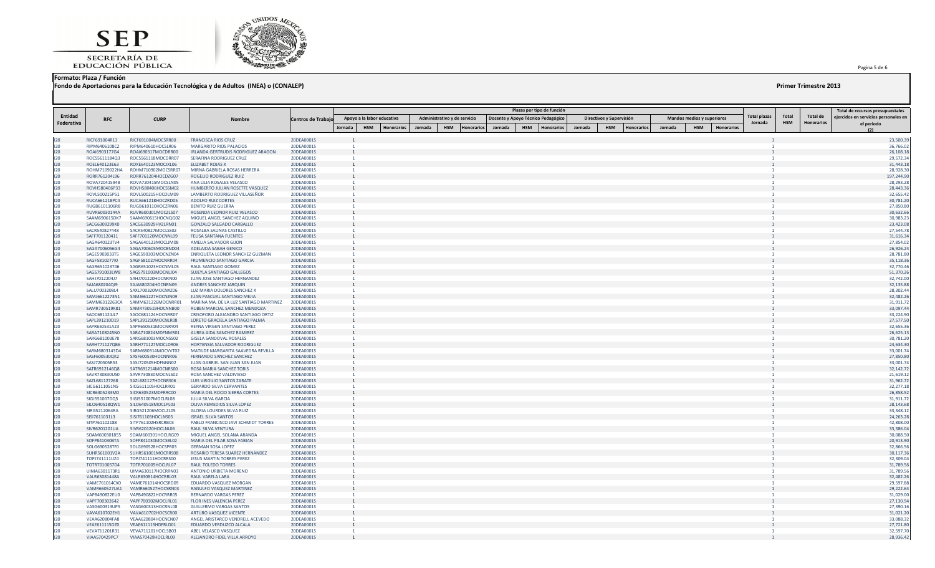SECRETARÍA DE<br>EDUCACIÓN PÚBLICA



### **Formato: Plaza / Función**

**Fondo de Aportaciones para la Educación Tecnológica y de Adultos (INEA) o (CONALEP) Primer Trimestre 2013**

| Entidad    |                                |                                          |                                                                     |                          |                |                                 |         |                                 |         | Plazas por tipo de función         |                   |         |                                 |         |                                   |                   | Total plazas | Total      | <b>Total de</b> | Total de recursos presupuestales<br>ejercidos en servicios personales en |
|------------|--------------------------------|------------------------------------------|---------------------------------------------------------------------|--------------------------|----------------|---------------------------------|---------|---------------------------------|---------|------------------------------------|-------------------|---------|---------------------------------|---------|-----------------------------------|-------------------|--------------|------------|-----------------|--------------------------------------------------------------------------|
| Federativa | <b>RFC</b>                     | <b>CURP</b>                              | Nombre                                                              | Centros de Trabajo       |                | Apoyo a la labor educativa      |         | Administrativo y de servicio    |         | Docente y Apoyo Técnico Pedagógico |                   |         | Directivos y Supervisión        |         | <b>Mandos medios y superiores</b> |                   | Jornada      | <b>HSM</b> | Honorarios      | el periodo                                                               |
|            |                                |                                          |                                                                     |                          | Jornada        | <b>HSM</b><br><b>Honorarios</b> | Jornada | <b>HSM</b><br><b>Honorarios</b> | Jornada | <b>HSM</b>                         | <b>Honorarios</b> | Jornada | <b>HSM</b><br><b>Honorarios</b> | Jornada | <b>HSM</b>                        | <b>Honorarios</b> |              |            |                 |                                                                          |
|            |                                |                                          |                                                                     |                          |                |                                 |         |                                 |         |                                    |                   |         |                                 |         |                                   |                   |              |            |                 |                                                                          |
| 120<br>120 | RICF691004R13<br>RIPM6406108C2 | RICF691004MOCSRR00<br>RIPM640610HOCSLR06 | <b>FRANCISCA RIOS CRUZ</b><br>MARGARITO RIOS PALACIOS               | 20DEA0001S<br>20DEA0001S |                |                                 |         |                                 |         |                                    |                   |         |                                 |         |                                   |                   |              |            |                 | 23,500.39<br>36,766.02                                                   |
| 120        | ROAI6903177G4                  | ROAI690317MOCDRR00                       | IRLANDA GERTRUDIS RODRIGUEZ ARAGON                                  | 20DEA0001S               |                |                                 |         |                                 |         |                                    |                   |         |                                 |         |                                   |                   |              |            |                 | 26,108.18                                                                |
| 120        | ROCS5611184Q3                  | ROCS561118MOCDRR07                       | SERAFINA RODRIGUEZ CRUZ                                             | 20DEA0001S               |                |                                 |         |                                 |         |                                    |                   |         |                                 |         |                                   |                   |              |            |                 | 29,572.34                                                                |
| 120        | ROEL640123E63                  | ROXE640123MOCJXL06                       | <b>ELIZABET ROJAS X</b>                                             | 20DEA0001S               |                |                                 |         |                                 |         |                                    |                   |         |                                 |         |                                   |                   |              |            |                 | 31,443.18                                                                |
| 120        | ROHM7109022HA                  | ROHM710902MOCSRR07                       | MIRNA GABRIELA ROSAS HERRERA                                        | 20DEA0001S               |                |                                 |         |                                 |         |                                    |                   |         |                                 |         |                                   |                   |              |            |                 | 28,928.30                                                                |
| 120        | RORR761204L96                  | RORR761204HOCDZG07                       | ROGELIO RODRIGUEZ RUIZ                                              | 20DEA0001S               | $\overline{1}$ |                                 |         |                                 |         |                                    |                   |         |                                 |         |                                   |                   |              |            |                 | 197,244.90                                                               |
| 120        | ROVA720415948                  | ROVA720415MOCSLN05                       | ANA LILIA ROSALES VELASCO                                           | 20DEA0001S               |                |                                 |         |                                 |         |                                    |                   |         |                                 |         |                                   |                   |              |            |                 | 28,293.28                                                                |
| 120<br>120 | ROVH580406P33<br>ROVL500215P51 | ROVH580406HOCSSM02<br>ROVL500215HOCDLM09 | HUMBERTO JULIAN ROSETTE VASQUEZ<br>LAMBERTO RODRIGUEZ VILLASEÑOR    | 20DEA0001S<br>20DEA0001S |                |                                 |         |                                 |         |                                    |                   |         |                                 |         |                                   |                   |              |            |                 | 28,443.36<br>32,655.42                                                   |
| 120        | RUCA661218PC4                  | RUCA661218HOCZRD05                       | ADOLFO RUIZ CORTES                                                  | 20DEA0001S               |                |                                 |         |                                 |         |                                    |                   |         |                                 |         |                                   |                   |              |            |                 | 30,781.20                                                                |
| 120        | RUGB6101106R8                  | RUGB610110HOCZRN06                       | <b>BENITO RUIZ GUERRA</b>                                           | 20DEA0001S               |                |                                 |         |                                 |         |                                    |                   |         |                                 |         |                                   |                   |              |            |                 | 27,850.80                                                                |
| 120        | RUVR60030144A                  | RUVR600301MOCZLS07                       | ROSENDA LEONOR RUIZ VELASCO                                         | 20DEA0001S               |                |                                 |         |                                 |         |                                    |                   |         |                                 |         |                                   |                   |              |            |                 | 30,632.66                                                                |
| 120        | SAAM690615DK7                  | SAAM690615HOCNQG02                       | MIGUEL ANGEL SANCHEZ AQUINO                                         | 20DEA0001S               |                |                                 |         |                                 |         |                                    |                   |         |                                 |         |                                   |                   |              |            |                 | 30,983.23                                                                |
| 120        | SACG6309299K0                  | SACG630929HVZLRN01                       | GONZALO SALGADO CARBALLO                                            | 20DEA0001S               |                |                                 |         |                                 |         |                                    |                   |         |                                 |         |                                   |                   |              |            |                 | 23,423.08                                                                |
| 120        | SACR540827448                  | SACR540827MOCLSS02                       | ROSALBA SALINAS CASTILLO                                            | 20DEA0001S               |                |                                 |         |                                 |         |                                    |                   |         |                                 |         |                                   |                   |              |            |                 | 27,544.78                                                                |
| 120        | SAFF701120411                  | SAFF701120MOCNNL09                       | FELISA SANTANA FUENTES                                              | 20DEA0001S               |                |                                 |         |                                 |         |                                    |                   |         |                                 |         |                                   |                   |              |            |                 | 31,616.34                                                                |
| 120        | SAGA640123TV4<br>SAGA7006056G4 | SAGA640123MOCLJM08                       | AMELIA SALVADOR GIJON                                               | 20DEA0001S               |                |                                 |         |                                 |         |                                    |                   |         |                                 |         |                                   |                   |              |            |                 | 27,854.02                                                                |
| 120<br>120 | SAGE5903033T5                  | SAGA700605MOCBND04<br>SAGE590303MOCNZN04 | ADELAIDA SABAH GENICO<br>ENRIQUETA LEONOR SANCHEZ GUZMAN            | 20DEA0001S<br>20DEA0001S |                |                                 |         |                                 |         |                                    |                   |         |                                 |         |                                   |                   |              |            |                 | 26,926.24<br>28,781.80                                                   |
| 120        | SAGF581027710                  | SAGF581027HOCNRR04                       | FRUMENCIO SANTIAGO GARCIA                                           | 20DEA0001S               |                |                                 |         |                                 |         |                                    |                   |         |                                 |         |                                   |                   |              |            |                 | 35,118.36                                                                |
| 120        | SAGR651023746                  | SAGR651023HOCNML05                       | RAUL SANTIAGO GOMEZ                                                 | 20DEA0001S               |                |                                 |         |                                 |         |                                    |                   |         |                                 |         |                                   |                   |              |            |                 | 32,770.46                                                                |
| 120        | SAGS791003LW8                  | SAGS791003MOCNLJ04                       | SUJEYLA SANTIAGO GALLEGOS                                           | 20DEA0001S               |                |                                 |         |                                 |         |                                    |                   |         |                                 |         |                                   |                   |              |            |                 | 51,370.26                                                                |
| 120        | SAHJ7012204J7                  | SAHJ701220HOCNRN00                       | JUAN JOSE SANTIAGO HERNANDEZ                                        | 20DEA0001S               |                |                                 |         |                                 |         |                                    |                   |         |                                 |         |                                   |                   |              |            |                 | 32,742.00                                                                |
| 120        | SAJA680204QI9                  | SAJA680204HOCNRN09                       | ANDRES SANCHEZ JARQUIN                                              | 20DEA0001S               |                |                                 |         |                                 |         |                                    |                   |         |                                 |         |                                   |                   |              |            |                 | 32,135.88                                                                |
| 120        | SALU7003208L4                  | SAXL700320MOCNXZ06                       | LUZ MARIA DOLORES SANCHEZ X                                         | 20DEA0001S               |                |                                 |         |                                 |         |                                    |                   |         |                                 |         |                                   |                   |              |            |                 | 28,302.44                                                                |
| 120        | SAMJ6612273N1                  | SAMJ661227HOCNJN09                       | JUAN PASCUAL SANTIAGO MEJIA                                         | 20DEA0001S               |                |                                 |         |                                 |         |                                    |                   |         |                                 |         |                                   |                   |              |            |                 | 32,482.26                                                                |
| 120        | SAMM6312263CA                  | SAMM631226MOCNRR01                       | MARINA MA. DE LA LUZ SANTIAGO MARTINEZ                              | 20DEA0001S               |                |                                 |         |                                 |         |                                    |                   |         |                                 |         |                                   |                   |              |            |                 | 31,911.72                                                                |
| 120<br>120 | SAMR730519K81<br>SAOC681124JL7 | SAMR730519HOCNNB00<br>SAOC681124HOCNRR07 | RUBEN MARCIAL SANCHEZ MENDOZA<br>CRISOFORO ALEJANDRO SANTIAGO ORTIZ | 20DEA0001S<br>20DEA0001S |                |                                 |         |                                 |         |                                    |                   |         |                                 |         |                                   |                   |              |            |                 | 33,097.44<br>33,224.90                                                   |
| 120        | SAPL391210D19                  | SAPL391210MOCNLR08                       | LORETO GRACIELA SANTIAGO PALMA                                      | 20DEA0001S               |                |                                 |         |                                 |         |                                    |                   |         |                                 |         |                                   |                   |              |            |                 | 27,577.50                                                                |
| 120        | SAPR650531A23                  | SAPR650531MOCNRY04                       | REYNA VIRGEN SANTIAGO PEREZ                                         | 20DEA0001S               |                |                                 |         |                                 |         |                                    |                   |         |                                 |         |                                   |                   |              |            |                 | 32,655.36                                                                |
| 120        | SARA7108245N0                  | SARA710824MDFNMR01                       | AUREA AIDA SANCHEZ RAMIREZ                                          | 20DEA0001S               |                |                                 |         |                                 |         |                                    |                   |         |                                 |         |                                   |                   |              |            |                 | 26,625.13                                                                |
| 120        | SARG681003E78                  | SARG681003MOCNSS02                       | <b>GISELA SANDOVAL ROSALES</b>                                      | 20DEA0001S               |                |                                 |         |                                 |         |                                    |                   |         |                                 |         |                                   |                   |              |            |                 | 30,781.20                                                                |
| 120        | SARH771127QB6                  | SARH771127MOCLDR06                       | HORTENSIA SALVADOR RODRIGUEZ                                        | 20DEA0001S               |                |                                 |         |                                 |         |                                    |                   |         |                                 |         |                                   |                   |              |            |                 | 24,634.30                                                                |
| 120        | SARM6803143D4                  | SARM680314MOCVVT02                       | MATILDE MARGARITA SAAVEDRA REVILLA                                  | 20DEA0001S               |                |                                 |         |                                 |         |                                    |                   |         |                                 |         |                                   |                   |              |            |                 | 33,001.74                                                                |
| 120        | SASF600530QK2                  | SASF600530HOCNNR06                       | FERNANDO SANCHEZ SANCHEZ                                            | 20DEA0001S               |                |                                 |         |                                 |         |                                    |                   |         |                                 |         |                                   |                   |              |            |                 | 27,850.80                                                                |
| 120        | SASJ720505R53                  | SASJ720505HDFNNN02                       | JUAN GABRIEL SAN JUAN SAN JUAN                                      | 20DEA0001S               |                |                                 |         |                                 |         |                                    |                   |         |                                 |         |                                   |                   |              |            |                 | 33,001.74                                                                |
| 120<br>120 | SATR6912146Q8<br>SAVR730830US0 | SATR691214MOCNRS00<br>SAVR730830MOCNLS02 | ROSA MARIA SANCHEZ TORIS<br>ROSA SANCHEZ VALDIVIESO                 | 20DEA0001S<br>20DEA0001S |                |                                 |         |                                 |         |                                    |                   |         |                                 |         |                                   |                   |              |            |                 | 32,142.72<br>21,619.12                                                   |
| 120        | SAZL681127268                  | SAZL681127HOCNRS06                       | LUIS VIRGILIO SANTOS ZARATE                                         | 20DEA0001S               |                |                                 |         |                                 |         |                                    |                   |         |                                 |         |                                   |                   |              |            |                 | 31,962.72                                                                |
| 120        | SICG6111051N5                  | SICG611105HOCLRR01                       | <b>GERARDO SILVA CERVANTES</b>                                      | 20DEA0001S               | $\overline{1}$ |                                 |         |                                 |         |                                    |                   |         |                                 |         |                                   |                   |              |            |                 | 32,277.18                                                                |
| 120        | SICR6305233M0                  | SICR630523MDFRRC00                       | MARIA DEL ROCIO SIERRA CORTES                                       | 20DEA0001S               |                |                                 |         |                                 |         |                                    |                   |         |                                 |         |                                   |                   |              |            |                 | 26,858.52                                                                |
| 120        | SIGJ551007DQ5                  | SIGJ551007MOCLRL08                       | <b>JULIA SILVA GARCIA</b>                                           | 20DEA0001S               | $\overline{1}$ |                                 |         |                                 |         |                                    |                   |         |                                 |         |                                   |                   |              |            |                 | 31,911.72                                                                |
| 120        | SILO640518QW1                  | SILO640518MOCLPL03                       | OLIVA REMEDIOS SILVA LOPEZ                                          | 20DEA0001S               |                |                                 |         |                                 |         |                                    |                   |         |                                 |         |                                   |                   |              |            |                 | 28,143.68                                                                |
| 120        | SIRG5212064RA                  | SIRG521206MOCLZL05                       | <b>GLORIA LOURDES SILVA RUIZ</b>                                    | 20DEA0001S               |                |                                 |         |                                 |         |                                    |                   |         |                                 |         |                                   |                   |              |            |                 | 33,348.12                                                                |
| 120        | SISI7611031L3                  | SISI761103HOCLNS05                       | <b>ISRAEL SILVA SANTOS</b>                                          | 20DEA0001S               |                |                                 |         |                                 |         |                                    |                   |         |                                 |         |                                   |                   |              |            |                 | 24,263.28                                                                |
| 120<br>120 | SITP761102188<br>SIVR6201201UA | SITP761102HSRCRB03<br>SIVR620120HOCLNL06 | PABLO FRANCISCO JAVI SCHMIDT TORRES<br>RAUL SILVA VENTURA           | 20DEA0001S<br>20DEA0001S | $\overline{1}$ |                                 |         |                                 |         |                                    |                   |         |                                 |         |                                   |                   |              |            |                 | 42,808.00<br>33,386.04                                                   |
| 120        | SOAM600301855                  | SOAM600301HOCLRG09                       | MIGUEL ANGEL SOLANA ARANDA                                          | 20DEA0001S               |                |                                 |         |                                 |         |                                    |                   |         |                                 |         |                                   |                   |              |            |                 | 30,088.50                                                                |
| 120        | SOFP841030BTA                  | SOFP841030MOCSBL02                       | MARIA DEL PILAR SOSA FABIAN                                         | 20DEA0001S               |                |                                 |         |                                 |         |                                    |                   |         |                                 |         |                                   |                   |              |            |                 | 20,913.90                                                                |
| 120        | SOLG690528TF0                  | SOLG690528HOCSPR03                       | <b>GERMAN SOSA LOPEZ</b>                                            | 20DEA0001S               |                |                                 |         |                                 |         |                                    |                   |         |                                 |         |                                   |                   |              |            |                 | 32,866.56                                                                |
| 120        | SUHR561001V2A                  | SUHR561001MOCRRS08                       | ROSARIO TERESA SUAREZ HERNANDEZ                                     | 20DEA0001S               |                |                                 |         |                                 |         |                                    |                   |         |                                 |         |                                   |                   |              |            |                 | 30,117.36                                                                |
| 120        | TOPJ741111UZ4                  | TOPJ741111HOCRRS00                       | <b>JESUS MARTIN TORRES PEREZ</b>                                    | 20DEA0001S               |                |                                 |         |                                 |         |                                    |                   |         |                                 |         |                                   |                   |              |            |                 | 32,309.04                                                                |
| 120        | TOTR7010057D4                  | TOTR701005HOCLRL07                       | <b>RAUL TOLEDO TORRES</b>                                           | 20DEA0001S               |                |                                 |         |                                 |         |                                    |                   |         |                                 |         |                                   |                   |              |            |                 | 31,789.56                                                                |
| 120        | UIMA6301173R1                  | UIMA630117HOCRRN03                       | ANTONIO URBIETA MORENO                                              | 20DEA0001S               |                |                                 |         |                                 |         |                                    |                   |         |                                 |         |                                   |                   |              |            |                 | 31,789.56                                                                |
| 120<br>120 | VALR63081448A                  | VALR630814HOCRRL03                       | RAUL VARELA LARA                                                    | 20DEA0001S               |                |                                 |         |                                 |         |                                    |                   |         |                                 |         |                                   |                   |              |            |                 | 32,482.26                                                                |
| 120        | VAME761014CK0<br>VAMR660527UA1 | VAME761014HOCSRD09<br>VAMR660527HOCSRN03 | EDUARDO VASQUEZ MORGAN<br>RANULFO VASQUEZ MARTINEZ                  | 20DEA0001S<br>20DEA0001S |                |                                 |         |                                 |         |                                    |                   |         |                                 |         |                                   |                   |              |            |                 | 29,597.88<br>29,222.64                                                   |
| 120        | VAPB490822EU0                  | VAPB490822HOCRRR05                       | <b>BERNARDO VARGAS PEREZ</b>                                        | 20DEA0001S               |                |                                 |         |                                 |         |                                    |                   |         |                                 |         |                                   |                   |              |            |                 | 31,029.00                                                                |
| 120        | VAPF700302642                  | VAPF700302MOCLRL01                       | FLOR INES VALENCIA PEREZ                                            | 20DEA0001S               |                |                                 |         |                                 |         |                                    |                   |         |                                 |         |                                   |                   |              |            |                 | 27,130.94                                                                |
| 120        | VASG600313UP5                  | VASG600313HOCRNL08                       | <b>GUILLERMO VARGAS SANTOS</b>                                      | 20DEA0001S               |                |                                 |         |                                 |         |                                    |                   |         |                                 |         |                                   |                   |              |            |                 | 27,390.16                                                                |
| 120        | VAVA610702EH1                  | VAVA610702HOCSCR00                       | ARTURO VASQUEZ VICENTE                                              | 20DEA0001S               |                |                                 |         |                                 |         |                                    |                   |         |                                 |         |                                   |                   |              |            |                 | 31,021.20                                                                |
| 120        | <b>VEAA620804FA8</b>           | VEAA620804HOCNCN07                       | ANGEL ARISTARCO VENDRELL ACEVEDO                                    | 20DEA0001S               |                |                                 |         |                                 |         |                                    |                   |         |                                 |         |                                   |                   |              |            |                 | 33,088.32                                                                |
| 120        | VEAE611115DZ0                  | VEAE611115HDFRLD01                       | EDUARDO VERDUZCO ALCALA                                             | 20DEA0001S               |                |                                 |         |                                 |         |                                    |                   |         |                                 |         |                                   |                   |              |            |                 | 27,721.80                                                                |
| 120<br>120 | VEVA711201R31                  | VEVA711201HOCLSB03                       | ABEL VELASCO VASQUEZ                                                | 20DEA0001S               |                |                                 |         |                                 |         |                                    |                   |         |                                 |         |                                   |                   |              |            |                 | 32,597.70                                                                |
|            | VIAA570429PC7                  | VIAA570429HOCLRL09                       | ALEJANDRO FIDEL VILLA ARROYO                                        | 20DEA0001S               | 1              |                                 |         |                                 |         |                                    |                   |         |                                 |         |                                   |                   |              |            |                 | 28,936.42                                                                |

Pagina 5 de 6 .